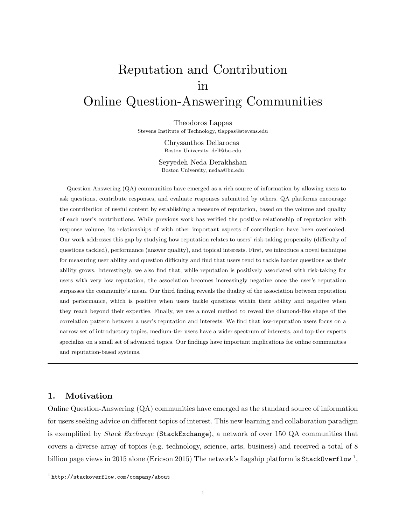# Reputation and Contribution in Online Question-Answering Communities

Theodoros Lappas Stevens Institute of Technology, tlappas@stevens.edu

> Chrysanthos Dellarocas Boston University, dell@bu.edu

Seyyedeh Neda Derakhshan Boston University, nedaa@bu.edu

Question-Answering (QA) communities have emerged as a rich source of information by allowing users to ask questions, contribute responses, and evaluate responses submitted by others. QA platforms encourage the contribution of useful content by establishing a measure of reputation, based on the volume and quality of each user's contributions. While previous work has verified the positive relationship of reputation with response volume, its relationships of with other important aspects of contribution have been overlooked. Our work addresses this gap by studying how reputation relates to users' risk-taking propensity (difficulty of questions tackled), performance (answer quality), and topical interests. First, we introduce a novel technique for measuring user ability and question difficulty and find that users tend to tackle harder questions as their ability grows. Interestingly, we also find that, while reputation is positively associated with risk-taking for users with very low reputation, the association becomes increasingly negative once the user's reputation surpasses the community's mean. Our third finding reveals the duality of the association between reputation and performance, which is positive when users tackle questions within their ability and negative when they reach beyond their expertise. Finally, we use a novel method to reveal the diamond-like shape of the correlation pattern between a user's reputation and interests. We find that low-reputation users focus on a narrow set of introductory topics, medium-tier users have a wider spectrum of interests, and top-tier experts specialize on a small set of advanced topics. Our findings have important implications for online communities and reputation-based systems.

# 1. Motivation

Online Question-Answering (QA) communities have emerged as the standard source of information for users seeking advice on different topics of interest. This new learning and collaboration paradigm is exemplified by Stack Exchange (StackExchange), a network of over 150 QA communities that covers a diverse array of topics (e.g. technology, science, arts, business) and received a total of 8 billion page views in 2015 alone (Ericson 2015) The network's flagship platform is  ${\tt StackOverflow}^1,$ 

1 http://stackoverflow.com/company/about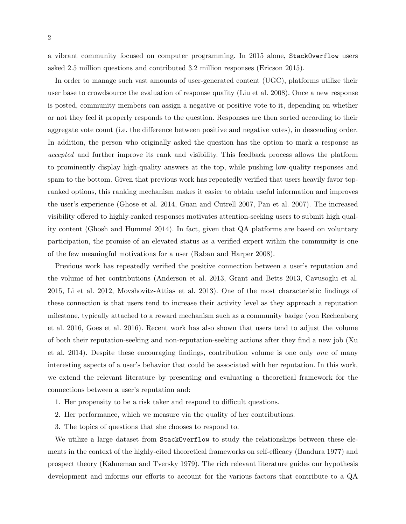a vibrant community focused on computer programming. In 2015 alone, StackOverflow users asked 2.5 million questions and contributed 3.2 million responses (Ericson 2015).

In order to manage such vast amounts of user-generated content (UGC), platforms utilize their user base to crowdsource the evaluation of response quality (Liu et al. 2008). Once a new response is posted, community members can assign a negative or positive vote to it, depending on whether or not they feel it properly responds to the question. Responses are then sorted according to their aggregate vote count (i.e. the difference between positive and negative votes), in descending order. In addition, the person who originally asked the question has the option to mark a response as accepted and further improve its rank and visibility. This feedback process allows the platform to prominently display high-quality answers at the top, while pushing low-quality responses and spam to the bottom. Given that previous work has repeatedly verified that users heavily favor topranked options, this ranking mechanism makes it easier to obtain useful information and improves the user's experience (Ghose et al. 2014, Guan and Cutrell 2007, Pan et al. 2007). The increased visibility offered to highly-ranked responses motivates attention-seeking users to submit high quality content (Ghosh and Hummel 2014). In fact, given that QA platforms are based on voluntary participation, the promise of an elevated status as a verified expert within the community is one of the few meaningful motivations for a user (Raban and Harper 2008).

Previous work has repeatedly verified the positive connection between a user's reputation and the volume of her contributions (Anderson et al. 2013, Grant and Betts 2013, Cavusoglu et al. 2015, Li et al. 2012, Movshovitz-Attias et al. 2013). One of the most characteristic findings of these connection is that users tend to increase their activity level as they approach a reputation milestone, typically attached to a reward mechanism such as a community badge (von Rechenberg et al. 2016, Goes et al. 2016). Recent work has also shown that users tend to adjust the volume of both their reputation-seeking and non-reputation-seeking actions after they find a new job (Xu et al. 2014). Despite these encouraging findings, contribution volume is one only one of many interesting aspects of a user's behavior that could be associated with her reputation. In this work, we extend the relevant literature by presenting and evaluating a theoretical framework for the connections between a user's reputation and:

- 1. Her propensity to be a risk taker and respond to difficult questions.
- 2. Her performance, which we measure via the quality of her contributions.
- 3. The topics of questions that she chooses to respond to.

We utilize a large dataset from **StackOverflow** to study the relationships between these elements in the context of the highly-cited theoretical frameworks on self-efficacy (Bandura 1977) and prospect theory (Kahneman and Tversky 1979). The rich relevant literature guides our hypothesis development and informs our efforts to account for the various factors that contribute to a QA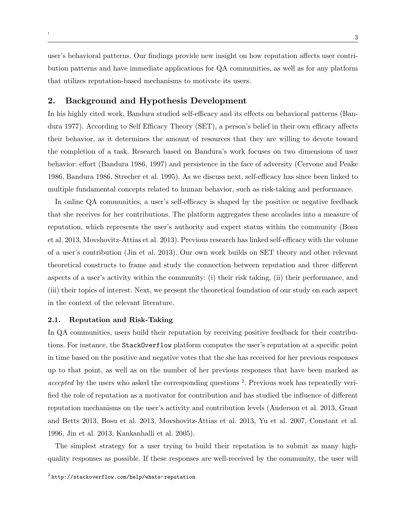user's behavioral patterns. Our findings provide new insight on how reputation affects user contribution patterns and have immediate applications for QA communities, as well as for any platform that utilizes reputation-based mechanisms to motivate its users.

# 2. Background and Hypothesis Development

In his highly cited work, Bandura studied self-efficacy and its effects on behavioral patterns (Bandura 1977). According to Self Efficacy Theory (SET), a person's belief in their own efficacy affects their behavior, as it determines the amount of resources that they are willing to devote toward the completion of a task. Research based on Bandura's work focuses on two dimensions of user behavior: effort (Bandura 1986, 1997) and persistence in the face of adversity (Cervone and Peake 1986, Bandura 1986, Strecher et al. 1995). As we discuss next, self-efficacy has since been linked to multiple fundamental concepts related to human behavior, such as risk-taking and performance.

In online QA communities, a user's self-efficacy is shaped by the positive or negative feedback that she receives for her contributions. The platform aggregates these accolades into a measure of reputation, which represents the user's authority and expert status within the community (Bosu et al. 2013, Movshovitz-Attias et al. 2013). Previous research has linked self-efficacy with the volume of a user's contribution (Jin et al. 2013). Our own work builds on SET theory and other relevant theoretical constructs to frame and study the connection between reputation and three different aspects of a user's activity within the community: (i) their risk taking, (ii) their performance, and (iii) their topics of interest. Next, we present the theoretical foundation of our study on each aspect in the context of the relevant literature.

### 2.1. Reputation and Risk-Taking

In QA communities, users build their reputation by receiving positive feedback for their contributions. For instance, the StackOverflow platform computes the user's reputation at a specific point in time based on the positive and negative votes that the she has received for her previous responses up to that point, as well as on the number of her previous responses that have been marked as accepted by the users who asked the corresponding questions<sup>2</sup>. Previous work has repeatedly verified the role of reputation as a motivator for contribution and has studied the influence of different reputation mechanisms on the user's activity and contribution levels (Anderson et al. 2013, Grant and Betts 2013, Bosu et al. 2013, Movshovitz-Attias et al. 2013, Yu et al. 2007, Constant et al. 1996, Jin et al. 2013, Kankanhalli et al. 2005).

The simplest strategy for a user trying to build their reputation is to submit as many highquality responses as possible. If these responses are well-received by the community, the user will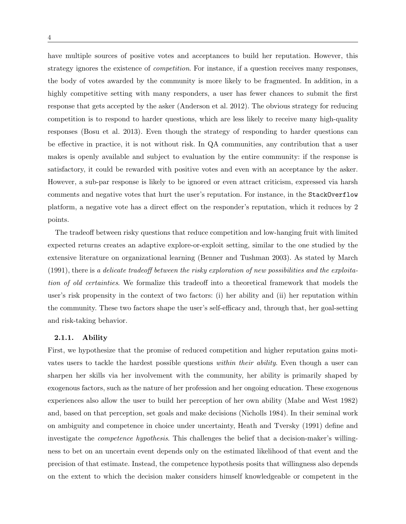have multiple sources of positive votes and acceptances to build her reputation. However, this strategy ignores the existence of *competition*. For instance, if a question receives many responses, the body of votes awarded by the community is more likely to be fragmented. In addition, in a highly competitive setting with many responders, a user has fewer chances to submit the first response that gets accepted by the asker (Anderson et al. 2012). The obvious strategy for reducing competition is to respond to harder questions, which are less likely to receive many high-quality responses (Bosu et al. 2013). Even though the strategy of responding to harder questions can be effective in practice, it is not without risk. In QA communities, any contribution that a user makes is openly available and subject to evaluation by the entire community: if the response is satisfactory, it could be rewarded with positive votes and even with an acceptance by the asker. However, a sub-par response is likely to be ignored or even attract criticism, expressed via harsh comments and negative votes that hurt the user's reputation. For instance, in the StackOverflow platform, a negative vote has a direct effect on the responder's reputation, which it reduces by 2 points.

The tradeoff between risky questions that reduce competition and low-hanging fruit with limited expected returns creates an adaptive explore-or-exploit setting, similar to the one studied by the extensive literature on organizational learning (Benner and Tushman 2003). As stated by March (1991), there is a delicate tradeoff between the risky exploration of new possibilities and the exploitation of old certainties. We formalize this tradeoff into a theoretical framework that models the user's risk propensity in the context of two factors: (i) her ability and (ii) her reputation within the community. These two factors shape the user's self-efficacy and, through that, her goal-setting and risk-taking behavior.

### 2.1.1. Ability

First, we hypothesize that the promise of reduced competition and higher reputation gains motivates users to tackle the hardest possible questions within their ability. Even though a user can sharpen her skills via her involvement with the community, her ability is primarily shaped by exogenous factors, such as the nature of her profession and her ongoing education. These exogenous experiences also allow the user to build her perception of her own ability (Mabe and West 1982) and, based on that perception, set goals and make decisions (Nicholls 1984). In their seminal work on ambiguity and competence in choice under uncertainty, Heath and Tversky (1991) define and investigate the competence hypothesis. This challenges the belief that a decision-maker's willingness to bet on an uncertain event depends only on the estimated likelihood of that event and the precision of that estimate. Instead, the competence hypothesis posits that willingness also depends on the extent to which the decision maker considers himself knowledgeable or competent in the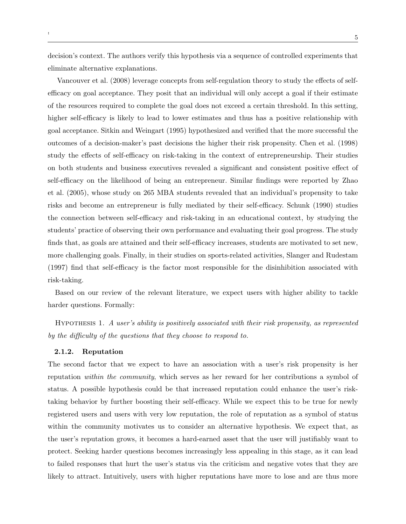decision's context. The authors verify this hypothesis via a sequence of controlled experiments that eliminate alternative explanations.

Vancouver et al. (2008) leverage concepts from self-regulation theory to study the effects of selfefficacy on goal acceptance. They posit that an individual will only accept a goal if their estimate of the resources required to complete the goal does not exceed a certain threshold. In this setting, higher self-efficacy is likely to lead to lower estimates and thus has a positive relationship with goal acceptance. Sitkin and Weingart (1995) hypothesized and verified that the more successful the outcomes of a decision-maker's past decisions the higher their risk propensity. Chen et al. (1998) study the effects of self-efficacy on risk-taking in the context of entrepreneurship. Their studies on both students and business executives revealed a significant and consistent positive effect of self-efficacy on the likelihood of being an entrepreneur. Similar findings were reported by Zhao et al. (2005), whose study on 265 MBA students revealed that an individual's propensity to take risks and become an entrepreneur is fully mediated by their self-efficacy. Schunk (1990) studies the connection between self-efficacy and risk-taking in an educational context, by studying the students' practice of observing their own performance and evaluating their goal progress. The study finds that, as goals are attained and their self-efficacy increases, students are motivated to set new, more challenging goals. Finally, in their studies on sports-related activities, Slanger and Rudestam (1997) find that self-efficacy is the factor most responsible for the disinhibition associated with risk-taking.

Based on our review of the relevant literature, we expect users with higher ability to tackle harder questions. Formally:

Hypothesis 1. A user's ability is positively associated with their risk propensity, as represented by the difficulty of the questions that they choose to respond to.

#### 2.1.2. Reputation

The second factor that we expect to have an association with a user's risk propensity is her reputation within the community, which serves as her reward for her contributions a symbol of status. A possible hypothesis could be that increased reputation could enhance the user's risktaking behavior by further boosting their self-efficacy. While we expect this to be true for newly registered users and users with very low reputation, the role of reputation as a symbol of status within the community motivates us to consider an alternative hypothesis. We expect that, as the user's reputation grows, it becomes a hard-earned asset that the user will justifiably want to protect. Seeking harder questions becomes increasingly less appealing in this stage, as it can lead to failed responses that hurt the user's status via the criticism and negative votes that they are likely to attract. Intuitively, users with higher reputations have more to lose and are thus more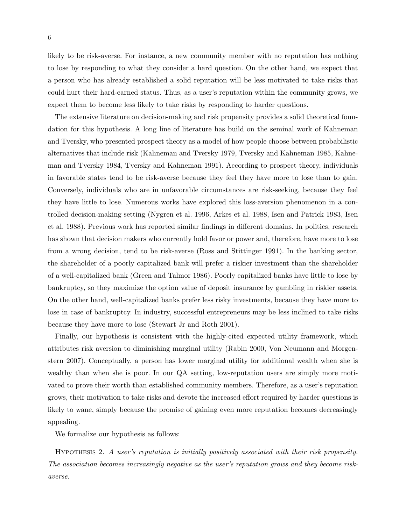likely to be risk-averse. For instance, a new community member with no reputation has nothing to lose by responding to what they consider a hard question. On the other hand, we expect that a person who has already established a solid reputation will be less motivated to take risks that could hurt their hard-earned status. Thus, as a user's reputation within the community grows, we expect them to become less likely to take risks by responding to harder questions.

The extensive literature on decision-making and risk propensity provides a solid theoretical foundation for this hypothesis. A long line of literature has build on the seminal work of Kahneman and Tversky, who presented prospect theory as a model of how people choose between probabilistic alternatives that include risk (Kahneman and Tversky 1979, Tversky and Kahneman 1985, Kahneman and Tversky 1984, Tversky and Kahneman 1991). According to prospect theory, individuals in favorable states tend to be risk-averse because they feel they have more to lose than to gain. Conversely, individuals who are in unfavorable circumstances are risk-seeking, because they feel they have little to lose. Numerous works have explored this loss-aversion phenomenon in a controlled decision-making setting (Nygren et al. 1996, Arkes et al. 1988, Isen and Patrick 1983, Isen et al. 1988). Previous work has reported similar findings in different domains. In politics, research has shown that decision makers who currently hold favor or power and, therefore, have more to lose from a wrong decision, tend to be risk-averse (Ross and Stittinger 1991). In the banking sector, the shareholder of a poorly capitalized bank will prefer a riskier investment than the shareholder of a well-capitalized bank (Green and Talmor 1986). Poorly capitalized banks have little to lose by bankruptcy, so they maximize the option value of deposit insurance by gambling in riskier assets. On the other hand, well-capitalized banks prefer less risky investments, because they have more to lose in case of bankruptcy. In industry, successful entrepreneurs may be less inclined to take risks because they have more to lose (Stewart Jr and Roth 2001).

Finally, our hypothesis is consistent with the highly-cited expected utility framework, which attributes risk aversion to diminishing marginal utility (Rabin 2000, Von Neumann and Morgenstern 2007). Conceptually, a person has lower marginal utility for additional wealth when she is wealthy than when she is poor. In our QA setting, low-reputation users are simply more motivated to prove their worth than established community members. Therefore, as a user's reputation grows, their motivation to take risks and devote the increased effort required by harder questions is likely to wane, simply because the promise of gaining even more reputation becomes decreasingly appealing.

We formalize our hypothesis as follows:

Hypothesis 2. A user's reputation is initially positively associated with their risk propensity. The association becomes increasingly negative as the user's reputation grows and they become riskaverse.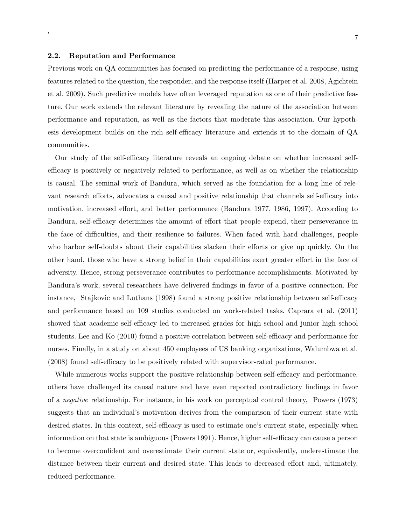#### 2.2. Reputation and Performance

Previous work on QA communities has focused on predicting the performance of a response, using features related to the question, the responder, and the response itself (Harper et al. 2008, Agichtein et al. 2009). Such predictive models have often leveraged reputation as one of their predictive feature. Our work extends the relevant literature by revealing the nature of the association between performance and reputation, as well as the factors that moderate this association. Our hypothesis development builds on the rich self-efficacy literature and extends it to the domain of QA communities.

Our study of the self-efficacy literature reveals an ongoing debate on whether increased selfefficacy is positively or negatively related to performance, as well as on whether the relationship is causal. The seminal work of Bandura, which served as the foundation for a long line of relevant research efforts, advocates a causal and positive relationship that channels self-efficacy into motivation, increased effort, and better performance (Bandura 1977, 1986, 1997). According to Bandura, self-efficacy determines the amount of effort that people expend, their perseverance in the face of difficulties, and their resilience to failures. When faced with hard challenges, people who harbor self-doubts about their capabilities slacken their efforts or give up quickly. On the other hand, those who have a strong belief in their capabilities exert greater effort in the face of adversity. Hence, strong perseverance contributes to performance accomplishments. Motivated by Bandura's work, several researchers have delivered findings in favor of a positive connection. For instance, Stajkovic and Luthans (1998) found a strong positive relationship between self-efficacy and performance based on 109 studies conducted on work-related tasks. Caprara et al. (2011) showed that academic self-efficacy led to increased grades for high school and junior high school students. Lee and Ko (2010) found a positive correlation between self-efficacy and performance for nurses. Finally, in a study on about 450 employees of US banking organizations, Walumbwa et al. (2008) found self-efficacy to be positively related with supervisor-rated performance.

While numerous works support the positive relationship between self-efficacy and performance, others have challenged its causal nature and have even reported contradictory findings in favor of a negative relationship. For instance, in his work on perceptual control theory, Powers (1973) suggests that an individual's motivation derives from the comparison of their current state with desired states. In this context, self-efficacy is used to estimate one's current state, especially when information on that state is ambiguous (Powers 1991). Hence, higher self-efficacy can cause a person to become overconfident and overestimate their current state or, equivalently, underestimate the distance between their current and desired state. This leads to decreased effort and, ultimately, reduced performance.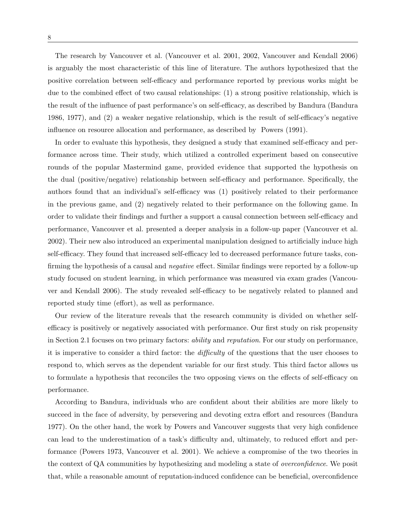The research by Vancouver et al. (Vancouver et al. 2001, 2002, Vancouver and Kendall 2006) is arguably the most characteristic of this line of literature. The authors hypothesized that the positive correlation between self-efficacy and performance reported by previous works might be due to the combined effect of two causal relationships: (1) a strong positive relationship, which is the result of the influence of past performance's on self-efficacy, as described by Bandura (Bandura 1986, 1977), and (2) a weaker negative relationship, which is the result of self-efficacy's negative influence on resource allocation and performance, as described by Powers (1991).

In order to evaluate this hypothesis, they designed a study that examined self-efficacy and performance across time. Their study, which utilized a controlled experiment based on consecutive rounds of the popular Mastermind game, provided evidence that supported the hypothesis on the dual (positive/negative) relationship between self-efficacy and performance. Specifically, the authors found that an individual's self-efficacy was (1) positively related to their performance in the previous game, and (2) negatively related to their performance on the following game. In order to validate their findings and further a support a causal connection between self-efficacy and performance, Vancouver et al. presented a deeper analysis in a follow-up paper (Vancouver et al. 2002). Their new also introduced an experimental manipulation designed to artificially induce high self-efficacy. They found that increased self-efficacy led to decreased performance future tasks, confirming the hypothesis of a causal and *negative* effect. Similar findings were reported by a follow-up study focused on student learning, in which performance was measured via exam grades (Vancouver and Kendall 2006). The study revealed self-efficacy to be negatively related to planned and reported study time (effort), as well as performance.

Our review of the literature reveals that the research community is divided on whether selfefficacy is positively or negatively associated with performance. Our first study on risk propensity in Section 2.1 focuses on two primary factors: *ability* and *reputation*. For our study on performance, it is imperative to consider a third factor: the difficulty of the questions that the user chooses to respond to, which serves as the dependent variable for our first study. This third factor allows us to formulate a hypothesis that reconciles the two opposing views on the effects of self-efficacy on performance.

According to Bandura, individuals who are confident about their abilities are more likely to succeed in the face of adversity, by persevering and devoting extra effort and resources (Bandura 1977). On the other hand, the work by Powers and Vancouver suggests that very high confidence can lead to the underestimation of a task's difficulty and, ultimately, to reduced effort and performance (Powers 1973, Vancouver et al. 2001). We achieve a compromise of the two theories in the context of QA communities by hypothesizing and modeling a state of overconfidence. We posit that, while a reasonable amount of reputation-induced confidence can be beneficial, overconfidence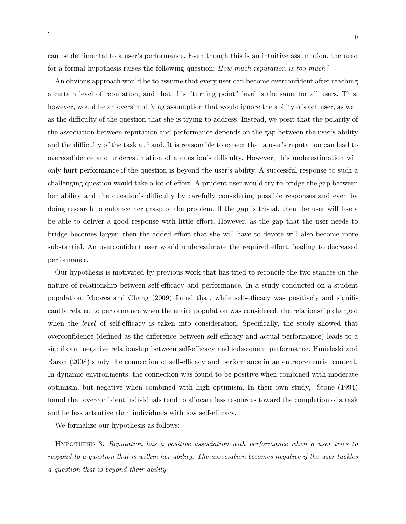can be detrimental to a user's performance. Even though this is an intuitive assumption, the need for a formal hypothesis raises the following question: How much reputation is too much?

An obvious approach would be to assume that every user can become overconfident after reaching a certain level of reputation, and that this "turning point" level is the same for all users. This, however, would be an oversimplifying assumption that would ignore the ability of each user, as well as the difficulty of the question that she is trying to address. Instead, we posit that the polarity of the association between reputation and performance depends on the gap between the user's ability and the difficulty of the task at hand. It is reasonable to expect that a user's reputation can lead to overconfidence and underestimation of a question's difficulty. However, this underestimation will only hurt performance if the question is beyond the user's ability. A successful response to such a challenging question would take a lot of effort. A prudent user would try to bridge the gap between her ability and the question's difficulty by carefully considering possible responses and even by doing research to enhance her grasp of the problem. If the gap is trivial, then the user will likely be able to deliver a good response with little effort. However, as the gap that the user needs to bridge becomes larger, then the added effort that she will have to devote will also become more substantial. An overconfident user would underestimate the required effort, leading to decreased performance.

Our hypothesis is motivated by previous work that has tried to reconcile the two stances on the nature of relationship between self-efficacy and performance. In a study conducted on a student population, Moores and Chang (2009) found that, while self-efficacy was positively and significantly related to performance when the entire population was considered, the relationship changed when the level of self-efficacy is taken into consideration. Specifically, the study showed that overconfidence (defined as the difference between self-efficacy and actual performance) leads to a significant negative relationship between self-efficacy and subsequent performance. Hmieleski and Baron (2008) study the connection of self-efficacy and performance in an entrepreneurial context. In dynamic environments, the connection was found to be positive when combined with moderate optimism, but negative when combined with high optimism. In their own study, Stone (1994) found that overconfident individuals tend to allocate less resources toward the completion of a task and be less attentive than individuals with low self-efficacy.

We formalize our hypothesis as follows:

Hypothesis 3. Reputation has a positive association with performance when a user tries to respond to a question that is within her ability. The association becomes negative if the user tackles a question that is beyond their ability.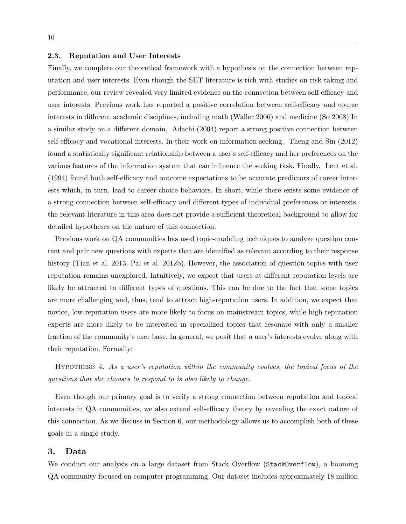#### 10

#### 2.3. Reputation and User Interests

Finally, we complete our theoretical framework with a hypothesis on the connection between reputation and user interests. Even though the SET literature is rich with studies on risk-taking and performance, our review revealed very limited evidence on the connection between self-efficacy and user interests. Previous work has reported a positive correlation between self-efficacy and course interests in different academic disciplines, including math (Waller 2006) and medicine (So 2008) In a similar study on a different domain, Adachi (2004) report a strong positive connection between self-efficacy and vocational interests. In their work on information seeking, Theng and Sin (2012) found a statistically significant relationship between a user's self-efficacy and her preferences on the various features of the information system that can influence the seeking task. Finally, Lent et al. (1994) found both self-efficacy and outcome expectations to be accurate predictors of career interests which, in turn, lead to career-choice behaviors. In short, while there exists some evidence of a strong connection between self-efficacy and different types of individual preferences or interests, the relevant literature in this area does not provide a sufficient theoretical background to allow for detailed hypotheses on the nature of this connection.

Previous work on QA communities has used topic-modeling techniques to analyze question content and pair new questions with experts that are identified as relevant according to their response history (Tian et al. 2013, Pal et al. 2012b). However, the association of question topics with user reputation remains unexplored. Intuitively, we expect that users at different reputation levels are likely be attracted to different types of questions. This can be due to the fact that some topics are more challenging and, thus, tend to attract high-reputation users. In addition, we expect that novice, low-reputation users are more likely to focus on mainstream topics, while high-reputation experts are more likely to be interested in specialized topics that resonate with only a smaller fraction of the community's user base. In general, we posit that a user's interests evolve along with their reputation. Formally:

Hypothesis 4. As a user's reputation within the community evolves, the topical focus of the questions that she chooses to respond to is also likely to change.

Even though our primary goal is to verify a strong connection between reputation and topical interests in QA communities, we also extend self-efficacy theory by revealing the exact nature of this connection. As we discuss in Section 6, our methodology allows us to accomplish both of these goals in a single study.

# 3. Data

We conduct our analysis on a large dataset from Stack Overflow (StackOverflow), a booming QA community focused on computer programming. Our dataset includes approximately 18 million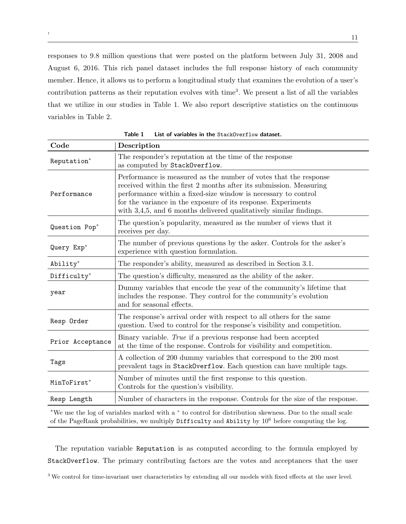responses to 9.8 million questions that were posted on the platform between July 31, 2008 and August 6, 2016. This rich panel dataset includes the full response history of each community member. Hence, it allows us to perform a longitudinal study that examines the evolution of a user's contribution patterns as their reputation evolves with time<sup>3</sup>. We present a list of all the variables that we utilize in our studies in Table 1. We also report descriptive statistics on the continuous variables in Table 2.

:

| Code             | Description                                                                                                                                                                                                                                                                                                                                     |
|------------------|-------------------------------------------------------------------------------------------------------------------------------------------------------------------------------------------------------------------------------------------------------------------------------------------------------------------------------------------------|
| Reputation*      | The responder's reputation at the time of the response<br>as computed by StackOverflow.                                                                                                                                                                                                                                                         |
| Performance      | Performance is measured as the number of votes that the response<br>received within the first 2 months after its submission. Measuring<br>performance within a fixed-size window is necessary to control<br>for the variance in the exposure of its response. Experiments<br>with 3,4,5, and 6 months delivered qualitatively similar findings. |
| Question Pop*    | The question's popularity, measured as the number of views that it<br>receives per day.                                                                                                                                                                                                                                                         |
| Query Exp*       | The number of previous questions by the asker. Controls for the asker's<br>experience with question formulation.                                                                                                                                                                                                                                |
| Ability*         | The responder's ability, measured as described in Section 3.1.                                                                                                                                                                                                                                                                                  |
| Difficulty*      | The question's difficulty, measured as the ability of the asker.                                                                                                                                                                                                                                                                                |
| year             | Dummy variables that encode the year of the community's lifetime that<br>includes the response. They control for the community's evolution<br>and for seasonal effects.                                                                                                                                                                         |
| Resp Order       | The response's arrival order with respect to all others for the same<br>question. Used to control for the response's visibility and competition.                                                                                                                                                                                                |
| Prior Acceptance | Binary variable. True if a previous response had been accepted<br>at the time of the response. Controls for visibility and competition.                                                                                                                                                                                                         |
| Tags             | A collection of 200 dummy variables that correspond to the 200 most<br>prevalent tags in StackOverflow. Each question can have multiple tags.                                                                                                                                                                                                   |
| MinToFirst*      | Number of minutes until the first response to this question.<br>Controls for the question's visibility.                                                                                                                                                                                                                                         |
| Resp Length      | Number of characters in the response. Controls for the size of the response.                                                                                                                                                                                                                                                                    |
|                  |                                                                                                                                                                                                                                                                                                                                                 |

Table 1 List of variables in the StackOverflow dataset.

<sup>∗</sup>We use the log of variables marked with a <sup>∗</sup> to control for distribution skewness. Due to the small scale of the PageRank probabilities, we multiply Difficulty and Ability by 10<sup>6</sup> before computing the log.

The reputation variable Reputation is as computed according to the formula employed by StackOverflow. The primary contributing factors are the votes and acceptances that the user

<sup>3</sup> We control for time-invariant user characteristics by extending all our models with fixed effects at the user level.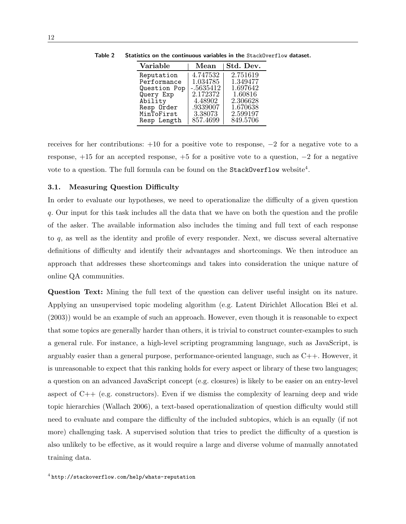| Variable     | Mean        | Std. Dev. |
|--------------|-------------|-----------|
| Reputation   | 4.747532    | 2.751619  |
| Performance  | 1.034785    | 1.349477  |
| Question Pop | $-.5635412$ | 1.697642  |
| Query Exp    | 2.172372    | 1.60816   |
| Ability      | 4.48902     | 2.306628  |
| Resp Order   | .9339007    | 1.670638  |
| MinToFirst   | 3.38073     | 2.599197  |
| Resp Length  | 857.4699    | 849.5706  |

Table 2 Statistics on the continuous variables in the StackOverflow dataset.

receives for her contributions:  $+10$  for a positive vote to response,  $-2$  for a negative vote to a response,  $+15$  for an accepted response,  $+5$  for a positive vote to a question,  $-2$  for a negative vote to a question. The full formula can be found on the  $StackOverflow$  website<sup>4</sup>.

#### 3.1. Measuring Question Difficulty

In order to evaluate our hypotheses, we need to operationalize the difficulty of a given question q. Our input for this task includes all the data that we have on both the question and the profile of the asker. The available information also includes the timing and full text of each response to q, as well as the identity and profile of every responder. Next, we discuss several alternative definitions of difficulty and identify their advantages and shortcomings. We then introduce an approach that addresses these shortcomings and takes into consideration the unique nature of online QA communities.

Question Text: Mining the full text of the question can deliver useful insight on its nature. Applying an unsupervised topic modeling algorithm (e.g. Latent Dirichlet Allocation Blei et al. (2003)) would be an example of such an approach. However, even though it is reasonable to expect that some topics are generally harder than others, it is trivial to construct counter-examples to such a general rule. For instance, a high-level scripting programming language, such as JavaScript, is arguably easier than a general purpose, performance-oriented language, such as C++. However, it is unreasonable to expect that this ranking holds for every aspect or library of these two languages; a question on an advanced JavaScript concept (e.g. closures) is likely to be easier on an entry-level aspect of  $C++$  (e.g. constructors). Even if we dismiss the complexity of learning deep and wide topic hierarchies (Wallach 2006), a text-based operationalization of question difficulty would still need to evaluate and compare the difficulty of the included subtopics, which is an equally (if not more) challenging task. A supervised solution that tries to predict the difficulty of a question is also unlikely to be effective, as it would require a large and diverse volume of manually annotated training data.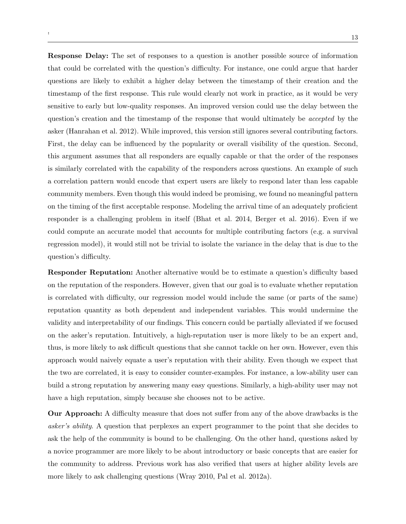Response Delay: The set of responses to a question is another possible source of information that could be correlated with the question's difficulty. For instance, one could argue that harder questions are likely to exhibit a higher delay between the timestamp of their creation and the timestamp of the first response. This rule would clearly not work in practice, as it would be very sensitive to early but low-quality responses. An improved version could use the delay between the question's creation and the timestamp of the response that would ultimately be accepted by the asker (Hanrahan et al. 2012). While improved, this version still ignores several contributing factors. First, the delay can be influenced by the popularity or overall visibility of the question. Second, this argument assumes that all responders are equally capable or that the order of the responses is similarly correlated with the capability of the responders across questions. An example of such a correlation pattern would encode that expert users are likely to respond later than less capable community members. Even though this would indeed be promising, we found no meaningful pattern on the timing of the first acceptable response. Modeling the arrival time of an adequately proficient responder is a challenging problem in itself (Bhat et al. 2014, Berger et al. 2016). Even if we could compute an accurate model that accounts for multiple contributing factors (e.g. a survival regression model), it would still not be trivial to isolate the variance in the delay that is due to the question's difficulty.

Responder Reputation: Another alternative would be to estimate a question's difficulty based on the reputation of the responders. However, given that our goal is to evaluate whether reputation is correlated with difficulty, our regression model would include the same (or parts of the same) reputation quantity as both dependent and independent variables. This would undermine the validity and interpretability of our findings. This concern could be partially alleviated if we focused on the asker's reputation. Intuitively, a high-reputation user is more likely to be an expert and, thus, is more likely to ask difficult questions that she cannot tackle on her own. However, even this approach would naively equate a user's reputation with their ability. Even though we expect that the two are correlated, it is easy to consider counter-examples. For instance, a low-ability user can build a strong reputation by answering many easy questions. Similarly, a high-ability user may not have a high reputation, simply because she chooses not to be active.

Our Approach: A difficulty measure that does not suffer from any of the above drawbacks is the asker's ability. A question that perplexes an expert programmer to the point that she decides to ask the help of the community is bound to be challenging. On the other hand, questions asked by a novice programmer are more likely to be about introductory or basic concepts that are easier for the community to address. Previous work has also verified that users at higher ability levels are more likely to ask challenging questions (Wray 2010, Pal et al. 2012a).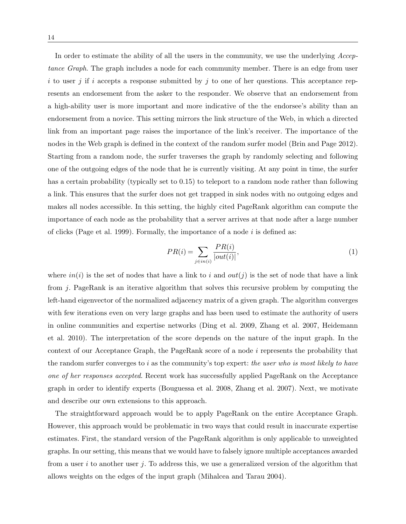In order to estimate the ability of all the users in the community, we use the underlying Acceptance Graph. The graph includes a node for each community member. There is an edge from user i to user j if i accepts a response submitted by j to one of her questions. This acceptance represents an endorsement from the asker to the responder. We observe that an endorsement from a high-ability user is more important and more indicative of the the endorsee's ability than an endorsement from a novice. This setting mirrors the link structure of the Web, in which a directed link from an important page raises the importance of the link's receiver. The importance of the nodes in the Web graph is defined in the context of the random surfer model (Brin and Page 2012). Starting from a random node, the surfer traverses the graph by randomly selecting and following one of the outgoing edges of the node that he is currently visiting. At any point in time, the surfer has a certain probability (typically set to 0.15) to teleport to a random node rather than following a link. This ensures that the surfer does not get trapped in sink nodes with no outgoing edges and makes all nodes accessible. In this setting, the highly cited PageRank algorithm can compute the importance of each node as the probability that a server arrives at that node after a large number of clicks (Page et al. 1999). Formally, the importance of a node  $i$  is defined as:

$$
PR(i) = \sum_{j \in in(i)} \frac{PR(i)}{|out(i)|},\tag{1}
$$

where  $in(i)$  is the set of nodes that have a link to i and  $out(j)$  is the set of node that have a link from j. PageRank is an iterative algorithm that solves this recursive problem by computing the left-hand eigenvector of the normalized adjacency matrix of a given graph. The algorithm converges with few iterations even on very large graphs and has been used to estimate the authority of users in online communities and expertise networks (Ding et al. 2009, Zhang et al. 2007, Heidemann et al. 2010). The interpretation of the score depends on the nature of the input graph. In the context of our Acceptance Graph, the PageRank score of a node i represents the probability that the random surfer converges to  $i$  as the community's top expert: the user who is most likely to have one of her responses accepted. Recent work has successfully applied PageRank on the Acceptance graph in order to identify experts (Bouguessa et al. 2008, Zhang et al. 2007). Next, we motivate and describe our own extensions to this approach.

The straightforward approach would be to apply PageRank on the entire Acceptance Graph. However, this approach would be problematic in two ways that could result in inaccurate expertise estimates. First, the standard version of the PageRank algorithm is only applicable to unweighted graphs. In our setting, this means that we would have to falsely ignore multiple acceptances awarded from a user i to another user j. To address this, we use a generalized version of the algorithm that allows weights on the edges of the input graph (Mihalcea and Tarau 2004).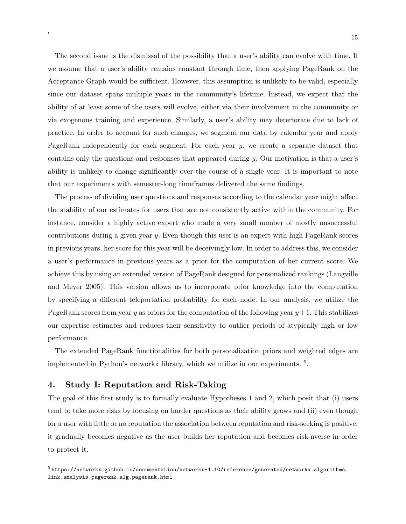The second issue is the dismissal of the possibility that a user's ability can evolve with time. If we assume that a user's ability remains constant through time, then applying PageRank on the Acceptance Graph would be sufficient. However, this assumption is unlikely to be valid, especially since our dataset spans multiple years in the community's lifetime. Instead, we expect that the ability of at least some of the users will evolve, either via their involvement in the community or via exogenous training and experience. Similarly, a user's ability may deteriorate due to lack of practice. In order to account for such changes, we segment our data by calendar year and apply PageRank independently for each segment. For each year  $y$ , we create a separate dataset that contains only the questions and responses that appeared during y. Our motivation is that a user's ability is unlikely to change significantly over the course of a single year. It is important to note that our experiments with semester-long timeframes delivered the same findings.

The process of dividing user questions and responses according to the calendar year might affect the stability of our estimates for users that are not consistently active within the community. For instance, consider a highly active expert who made a very small number of mostly unsuccessful contributions during a given year y. Even though this user is an expert with high PageRank scores in previous years, her score for this year will be deceivingly low. In order to address this, we consider a user's performance in previous years as a prior for the computation of her current score. We achieve this by using an extended version of PageRank designed for personalized rankings (Langville and Meyer 2005). This version allows us to incorporate prior knowledge into the computation by specifying a different teleportation probability for each node. In our analysis, we utilize the PageRank scores from year y as priors for the computation of the following year  $y+1$ . This stabilizes our expertise estimates and reduces their sensitivity to outlier periods of atypically high or low performance.

The extended PageRank functionalities for both personalization priors and weighted edges are implemented in Python's networkx library, which we utilize in our experiments. <sup>5</sup> .

## 4. Study I: Reputation and Risk-Taking

The goal of this first study is to formally evaluate Hypotheses 1 and 2, which posit that (i) users tend to take more risks by focusing on harder questions as their ability grows and (ii) even though for a user with little or no reputation the association between reputation and risk-seeking is positive, it gradually becomes negative as the user builds her reputation and becomes risk-averse in order to protect it.

 $^5$ https://networkx.github.io/documentation/networkx-1.10/reference/generated/networkx.algorithms. link\_analysis.pagerank\_alg.pagerank.html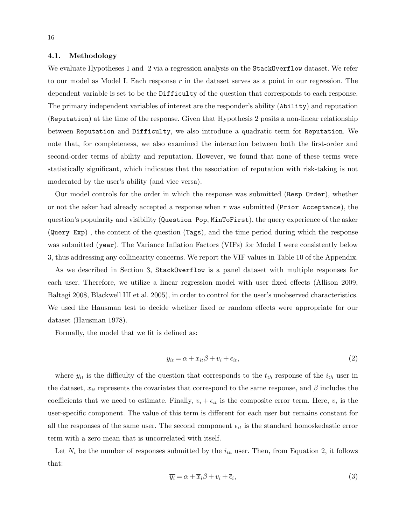#### 4.1. Methodology

We evaluate Hypotheses 1 and 2 via a regression analysis on the StackOverflow dataset. We refer to our model as Model I. Each response  $r$  in the dataset serves as a point in our regression. The dependent variable is set to be the Difficulty of the question that corresponds to each response. The primary independent variables of interest are the responder's ability (Ability) and reputation (Reputation) at the time of the response. Given that Hypothesis 2 posits a non-linear relationship between Reputation and Difficulty, we also introduce a quadratic term for Reputation. We note that, for completeness, we also examined the interaction between both the first-order and second-order terms of ability and reputation. However, we found that none of these terms were statistically significant, which indicates that the association of reputation with risk-taking is not moderated by the user's ability (and vice versa).

Our model controls for the order in which the response was submitted (Resp Order), whether or not the asker had already accepted a response when  $r$  was submitted (Prior Acceptance), the question's popularity and visibility (Question Pop, MinToFirst), the query experience of the asker (Query Exp) , the content of the question (Tags), and the time period during which the response was submitted (year). The Variance Inflation Factors (VIFs) for Model I were consistently below 3, thus addressing any collinearity concerns. We report the VIF values in Table 10 of the Appendix.

As we described in Section 3, StackOverflow is a panel dataset with multiple responses for each user. Therefore, we utilize a linear regression model with user fixed effects (Allison 2009, Baltagi 2008, Blackwell III et al. 2005), in order to control for the user's unobserved characteristics. We used the Hausman test to decide whether fixed or random effects were appropriate for our dataset (Hausman 1978).

Formally, the model that we fit is defined as:

$$
y_{it} = \alpha + x_{it}\beta + v_i + \epsilon_{it},\tag{2}
$$

where  $y_{it}$  is the difficulty of the question that corresponds to the  $t_{th}$  response of the  $i_{th}$  user in the dataset,  $x_{it}$  represents the covariates that correspond to the same response, and  $\beta$  includes the coefficients that we need to estimate. Finally,  $v_i + \epsilon_{it}$  is the composite error term. Here,  $v_i$  is the user-specific component. The value of this term is different for each user but remains constant for all the responses of the same user. The second component  $\epsilon_{it}$  is the standard homoskedastic error term with a zero mean that is uncorrelated with itself.

Let  $N_i$  be the number of responses submitted by the  $i_{th}$  user. Then, from Equation 2, it follows that:

$$
\overline{y_i} = \alpha + \overline{x}_i \beta + v_i + \overline{\epsilon}_i,\tag{3}
$$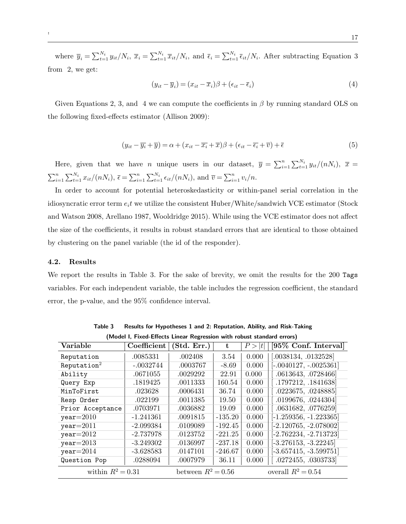where  $\overline{y}_i = \sum_{t=1}^{N_i} y_{it}/N_i$ ,  $\overline{x}_i = \sum_{t=1}^{N_i} \overline{x}_{it}/N_i$ , and  $\overline{\epsilon}_i = \sum_{t=1}^{N_i} \overline{\epsilon}_{it}/N_i$ . After subtracting Equation 3 from 2, we get:

$$
(y_{it} - \overline{y}_i) = (x_{it} - \overline{x}_i)\beta + (\epsilon_{it} - \overline{\epsilon}_i)
$$
\n
$$
\tag{4}
$$

Given Equations 2, 3, and 4 we can compute the coefficients in  $\beta$  by running standard OLS on the following fixed-effects estimator (Allison 2009):

$$
(y_{it} - \overline{y_i} + \overline{y}) = \alpha + (x_{it} - \overline{x_i} + \overline{x})\beta + (\epsilon_{it} - \overline{\epsilon_i} + \overline{v}) + \overline{\epsilon}
$$
(5)

Here, given that we have *n* unique users in our dataset,  $\overline{y} = \sum_{i=1}^{n} \sum_{t=1}^{N_i} y_{it}/(n_i)$ ,  $\overline{x} =$  $\sum_{i=1}^{n} \sum_{t=1}^{N_i} x_{it}/(nN_i)$ ,  $\bar{\epsilon} = \sum_{i=1}^{n} \sum_{t=1}^{N_i} \epsilon_{it}/(nN_i)$ , and  $\bar{v} = \sum_{i=1}^{n} v_i/n$ .

In order to account for potential heteroskedasticity or within-panel serial correlation in the idiosyncratic error term  $e_i t$  we utilize the consistent Huber/White/sandwich VCE estimator (Stock and Watson 2008, Arellano 1987, Wooldridge 2015). While using the VCE estimator does not affect the size of the coefficients, it results in robust standard errors that are identical to those obtained by clustering on the panel variable (the id of the responder).

#### 4.2. Results

:

We report the results in Table 3. For the sake of brevity, we omit the results for the 200 Tags variables. For each independent variable, the table includes the regression coefficient, the standard error, the p-value, and the 95% confidence interval.

| (Model I, Fixed-Effects Linear Regression with robust standard errors) |             |            |           |       |                          |  |  |
|------------------------------------------------------------------------|-------------|------------|-----------|-------|--------------------------|--|--|
| Variable                                                               | Coefficient | Std. Err.) | t.        | P> t  | [95\% Conf. Interval]    |  |  |
| Reputation                                                             | .0085331    | .002408    | 3.54      | 0.000 | [.0038134, .0132528]     |  |  |
| Reputation <sup>2</sup>                                                | $-.0032744$ | .0003767   | $-8.69$   | 0.000 | $[-.0040127, -.0025361]$ |  |  |
| Ability                                                                | .0671055    | .0029292   | 22.91     | 0.000 | .0613643, .0728466       |  |  |
| Query Exp                                                              | .1819425    | .0011333   | 160.54    | 0.000 | .1797212, .1841638       |  |  |
| MinToFirst                                                             | .023628     | .0006431   | 36.74     | 0.000 | .0223675, .0248885       |  |  |
| Resp Order                                                             | .022199     | .0011385   | 19.50     | 0.000 | 0.199676, 0.0244304      |  |  |
| Prior Acceptance                                                       | .0703971    | .0036882   | 19.09     | 0.000 | 0631682, 0776259         |  |  |
| $year = 2010$                                                          | $-1.241361$ | .0091815   | $-135.20$ | 0.000 | $[-1.259356, -1.223365]$ |  |  |
| $year=2011$                                                            | $-2.099384$ | .0109089   | $-192.45$ | 0.000 | $[-2.120765, -2.078002]$ |  |  |
| $year=2012$                                                            | $-2.737978$ | .0123752   | $-221.25$ | 0.000 | $[-2.762234, -2.713723]$ |  |  |
| $year=2013$                                                            | $-3.249302$ | .0136997   | $-237.18$ | 0.000 | $[-3.276153, -3.22245]$  |  |  |
| $year=2014$                                                            | $-3.628583$ | .0147101   | $-246.67$ | 0.000 | $[-3.657415, -3.599751]$ |  |  |
| Question Pop                                                           | .0288094    | .0007979   | 36.11     | 0.000 | 0272455, 0303733         |  |  |
| within $R^2 = 0.31$<br>overall $R^2 = 0.54$<br>between $R^2 = 0.56$    |             |            |           |       |                          |  |  |

Table 3 Results for Hypotheses 1 and 2: Reputation, Ability, and Risk-Taking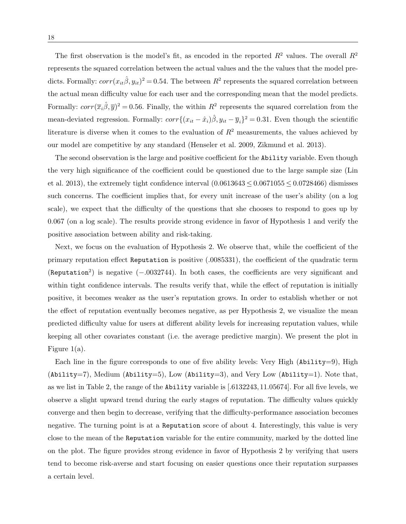The first observation is the model's fit, as encoded in the reported  $R^2$  values. The overall  $R^2$ represents the squared correlation between the actual values and the the values that the model predicts. Formally:  $corr(x_{it}\hat{\beta}, y_{it})^2 = 0.54$ . The between  $R^2$  represents the squared correlation between the actual mean difficulty value for each user and the corresponding mean that the model predicts. Formally:  $corr(\overline{x}_i\hat{\beta}, \overline{y})^2 = 0.56$ . Finally, the within  $R^2$  represents the squared correlation from the mean-deviated regression. Formally:  $corr\{(x_{it} - \hat{x}_i)\hat{\beta}, y_{it} - \overline{y}_i\}^2 = 0.31$ . Even though the scientific literature is diverse when it comes to the evaluation of  $R^2$  measurements, the values achieved by our model are competitive by any standard (Henseler et al. 2009, Zikmund et al. 2013).

The second observation is the large and positive coefficient for the Ability variable. Even though the very high significance of the coefficient could be questioned due to the large sample size (Lin et al. 2013), the extremely tight confidence interval  $(0.0613643 \le 0.0671055 \le 0.0728466)$  dismisses such concerns. The coefficient implies that, for every unit increase of the user's ability (on a log scale), we expect that the difficulty of the questions that she chooses to respond to goes up by 0.067 (on a log scale). The results provide strong evidence in favor of Hypothesis 1 and verify the positive association between ability and risk-taking.

Next, we focus on the evaluation of Hypothesis 2. We observe that, while the coefficient of the primary reputation effect Reputation is positive (.0085331), the coefficient of the quadratic term (Reputation<sup>2</sup> ) is negative (−.0032744). In both cases, the coefficients are very significant and within tight confidence intervals. The results verify that, while the effect of reputation is initially positive, it becomes weaker as the user's reputation grows. In order to establish whether or not the effect of reputation eventually becomes negative, as per Hypothesis 2, we visualize the mean predicted difficulty value for users at different ability levels for increasing reputation values, while keeping all other covariates constant (i.e. the average predictive margin). We present the plot in Figure 1(a).

Each line in the figure corresponds to one of five ability levels: Very High  $(Ability=9)$ , High (Ability=7), Medium (Ability=5), Low (Ability=3), and Very Low (Ability=1). Note that, as we list in Table 2, the range of the Ability variable is [.6132243, 11.05674]. For all five levels, we observe a slight upward trend during the early stages of reputation. The difficulty values quickly converge and then begin to decrease, verifying that the difficulty-performance association becomes negative. The turning point is at a Reputation score of about 4. Interestingly, this value is very close to the mean of the Reputation variable for the entire community, marked by the dotted line on the plot. The figure provides strong evidence in favor of Hypothesis 2 by verifying that users tend to become risk-averse and start focusing on easier questions once their reputation surpasses a certain level.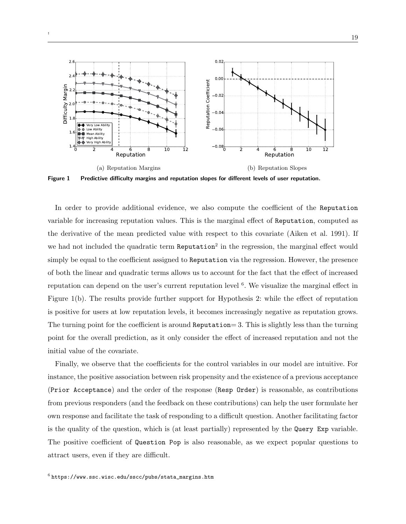

Figure 1 Predictive difficulty margins and reputation slopes for different levels of user reputation.

:

In order to provide additional evidence, we also compute the coefficient of the Reputation variable for increasing reputation values. This is the marginal effect of Reputation, computed as the derivative of the mean predicted value with respect to this covariate (Aiken et al. 1991). If we had not included the quadratic term  $\texttt{Reputation}^2$  in the regression, the marginal effect would simply be equal to the coefficient assigned to Reputation via the regression. However, the presence of both the linear and quadratic terms allows us to account for the fact that the effect of increased reputation can depend on the user's current reputation level <sup>6</sup>. We visualize the marginal effect in Figure 1(b). The results provide further support for Hypothesis 2: while the effect of reputation is positive for users at low reputation levels, it becomes increasingly negative as reputation grows. The turning point for the coefficient is around Reputation= 3. This is slightly less than the turning point for the overall prediction, as it only consider the effect of increased reputation and not the initial value of the covariate.

Finally, we observe that the coefficients for the control variables in our model are intuitive. For instance, the positive association between risk propensity and the existence of a previous acceptance (Prior Acceptance) and the order of the response (Resp Order) is reasonable, as contributions from previous responders (and the feedback on these contributions) can help the user formulate her own response and facilitate the task of responding to a difficult question. Another facilitating factor is the quality of the question, which is (at least partially) represented by the Query Exp variable. The positive coefficient of Question Pop is also reasonable, as we expect popular questions to attract users, even if they are difficult.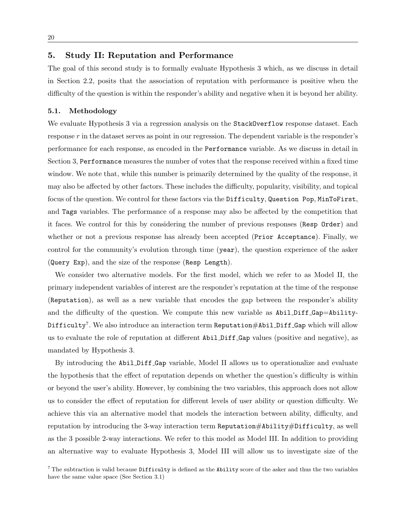# 5. Study II: Reputation and Performance

The goal of this second study is to formally evaluate Hypothesis 3 which, as we discuss in detail in Section 2.2, posits that the association of reputation with performance is positive when the difficulty of the question is within the responder's ability and negative when it is beyond her ability.

## 5.1. Methodology

We evaluate Hypothesis 3 via a regression analysis on the StackOverflow response dataset. Each response r in the dataset serves as point in our regression. The dependent variable is the responder's performance for each response, as encoded in the Performance variable. As we discuss in detail in Section 3, Performance measures the number of votes that the response received within a fixed time window. We note that, while this number is primarily determined by the quality of the response, it may also be affected by other factors. These includes the difficulty, popularity, visibility, and topical focus of the question. We control for these factors via the Difficulty, Question Pop, MinToFirst, and Tags variables. The performance of a response may also be affected by the competition that it faces. We control for this by considering the number of previous responses (Resp Order) and whether or not a previous response has already been accepted (Prior Acceptance). Finally, we control for the community's evolution through time (year), the question experience of the asker (Query Exp), and the size of the response (Resp Length).

We consider two alternative models. For the first model, which we refer to as Model II, the primary independent variables of interest are the responder's reputation at the time of the response (Reputation), as well as a new variable that encodes the gap between the responder's ability and the difficulty of the question. We compute this new variable as Abil Diff Gap=Ability-<code>Difficulty</code><sup>7</sup>. We also introduce an interaction term <code>Reputation#Abil\_Diff\_Gap</code> which will allow us to evaluate the role of reputation at different Abil Diff Gap values (positive and negative), as mandated by Hypothesis 3.

By introducing the Abil Diff Gap variable, Model II allows us to operationalize and evaluate the hypothesis that the effect of reputation depends on whether the question's difficulty is within or beyond the user's ability. However, by combining the two variables, this approach does not allow us to consider the effect of reputation for different levels of user ability or question difficulty. We achieve this via an alternative model that models the interaction between ability, difficulty, and reputation by introducing the 3-way interaction term Reputation#Ability#Difficulty, as well as the 3 possible 2-way interactions. We refer to this model as Model III. In addition to providing an alternative way to evaluate Hypothesis 3, Model III will allow us to investigate size of the

<sup>&</sup>lt;sup>7</sup> The subtraction is valid because Difficulty is defined as the Ability score of the asker and thus the two variables have the same value space (See Section 3.1)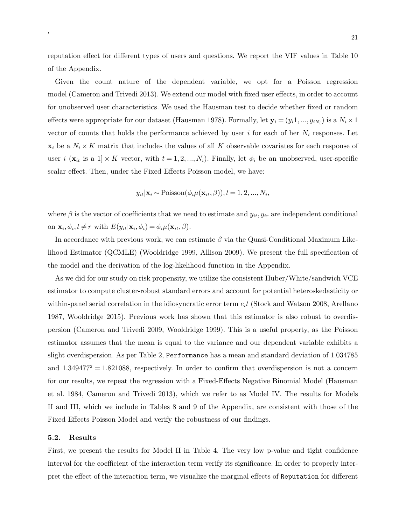reputation effect for different types of users and questions. We report the VIF values in Table 10 of the Appendix.

Given the count nature of the dependent variable, we opt for a Poisson regression model (Cameron and Trivedi 2013). We extend our model with fixed user effects, in order to account for unobserved user characteristics. We used the Hausman test to decide whether fixed or random effects were appropriate for our dataset (Hausman 1978). Formally, let  $y_i = (y_i 1, ..., y_{iN_i})$  is a  $N_i \times 1$ vector of counts that holds the performance achieved by user i for each of her  $N_i$  responses. Let  $\mathbf{x}_i$  be a  $N_i \times K$  matrix that includes the values of all K observable covariates for each response of user i  $(\mathbf{x}_{it} \text{ is a } 1] \times K$  vector, with  $t = 1, 2, ..., N_i$ . Finally, let  $\phi_i$  be an unobserved, user-specific scalar effect. Then, under the Fixed Effects Poisson model, we have:

$$
y_{it}|\mathbf{x}_i \sim \text{Poisson}(\phi_i \mu(\mathbf{x}_{it}, \beta)), t = 1, 2, ..., N_i,
$$

where  $\beta$  is the vector of coefficients that we need to estimate and  $y_{it}$ ,  $y_{ir}$  are independent conditional on  $\mathbf{x}_i, \phi_i, t \neq r$  with  $E(y_{it}|\mathbf{x}_i, \phi_i) = \phi_i \mu(\mathbf{x}_{it}, \beta)$ .

In accordance with previous work, we can estimate  $\beta$  via the Quasi-Conditional Maximum Likelihood Estimator (QCMLE) (Wooldridge 1999, Allison 2009). We present the full specification of the model and the derivation of the log-likelihood function in the Appendix.

As we did for our study on risk propensity, we utilize the consistent Huber/White/sandwich VCE estimator to compute cluster-robust standard errors and account for potential heteroskedasticity or within-panel serial correlation in the idiosyncratic error term  $e_i t$  (Stock and Watson 2008, Arellano 1987, Wooldridge 2015). Previous work has shown that this estimator is also robust to overdispersion (Cameron and Trivedi 2009, Wooldridge 1999). This is a useful property, as the Poisson estimator assumes that the mean is equal to the variance and our dependent variable exhibits a slight overdispersion. As per Table 2, Performance has a mean and standard deviation of 1.034785 and  $1.349477^2 = 1.821088$ , respectively. In order to confirm that overdispersion is not a concern for our results, we repeat the regression with a Fixed-Effects Negative Binomial Model (Hausman et al. 1984, Cameron and Trivedi 2013), which we refer to as Model IV. The results for Models II and III, which we include in Tables 8 and 9 of the Appendix, are consistent with those of the Fixed Effects Poisson Model and verify the robustness of our findings.

#### 5.2. Results

First, we present the results for Model II in Table 4. The very low p-value and tight confidence interval for the coefficient of the interaction term verify its significance. In order to properly interpret the effect of the interaction term, we visualize the marginal effects of Reputation for different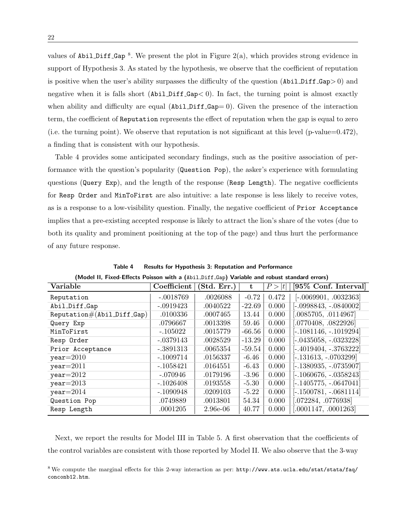values of Abil Diff Gap<sup>8</sup>. We present the plot in Figure  $2(a)$ , which provides strong evidence in support of Hypothesis 3. As stated by the hypothesis, we observe that the coefficient of reputation is positive when the user's ability surpasses the difficulty of the question (Abil Diff  $Gap>0$ ) and negative when it is falls short ( $Abi1_Diff_Gap<0$ ). In fact, the turning point is almost exactly when ability and difficulty are equal  $(AbiLDiff_Gap=0)$ . Given the presence of the interaction term, the coefficient of Reputation represents the effect of reputation when the gap is equal to zero (i.e. the turning point). We observe that reputation is not significant at this level (p-value= $0.472$ ), a finding that is consistent with our hypothesis.

Table 4 provides some anticipated secondary findings, such as the positive association of performance with the question's popularity (Question Pop), the asker's experience with formulating questions (Query Exp), and the length of the response (Resp Length). The negative coefficients for Resp Order and MinToFirst are also intuitive: a late response is less likely to receive votes, as is a response to a low-visibility question. Finally, the negative coefficient of Prior Acceptance implies that a pre-existing accepted response is likely to attract the lion's share of the votes (due to both its quality and prominent positioning at the top of the page) and thus hurt the performance of any future response.

| (Model II, Fixed-Effects Poisson with a (Abil Diff Gap) Variable and robust standard errors) |             |             |          |       |                          |  |
|----------------------------------------------------------------------------------------------|-------------|-------------|----------|-------|--------------------------|--|
| Variable                                                                                     | Coefficient | (Std. Err.) | t.       | P >   | [95\% Conf. Interval]    |  |
| Reputation                                                                                   | $-.0018769$ | .0026088    | $-0.72$  | 0.472 | $[-.0069901, .0032363]$  |  |
| Abil_Diff_Gap                                                                                | $-.0919423$ | .0040522    | $-22.69$ | 0.000 | $[-.0998843, -.0840002]$ |  |
| $Reputation#(Abil_Diff_Gap)$                                                                 | .0100336    | .0007465    | 13.44    | 0.000 | [.0085705, .0114967]     |  |
| Query Exp                                                                                    | .0796667    | .0013398    | 59.46    | 0.000 | [.0770408, .0822926]     |  |
| MinToFirst                                                                                   | $-.105022$  | .0015779    | $-66.56$ | 0.000 | $[-.1081146, -.1019294]$ |  |
| Resp Order                                                                                   | $-.0379143$ | .0028529    | $-13.29$ | 0.000 | $[-.0435058, -.0323228]$ |  |
| Prior Acceptance                                                                             | $-.3891313$ | .0065354    | $-59.54$ | 0.000 | $[-.4019404, -.3763222]$ |  |
| $year=2010$                                                                                  | $-.1009714$ | .0156337    | $-6.46$  | 0.000 | $[-.131613, -.0703299]$  |  |
| $year = 2011$                                                                                | $-.1058421$ | .0164551    | $-6.43$  | 0.000 | $[-.1380935, -.0735907]$ |  |
| $year=2012$                                                                                  | $-.070946$  | .0179196    | $-3.96$  | 0.000 | $[-.1060676, -.0358243]$ |  |
| $year=2013$                                                                                  | $-.1026408$ | .0193558    | $-5.30$  | 0.000 | $[-.1405775, -.0647041]$ |  |
| $year=2014$                                                                                  | $-.1090948$ | .0209103    | $-5.22$  | 0.000 | $[-.1500781, -.0681114]$ |  |
| Question Pop                                                                                 | .0749889    | .0013801    | 54.34    | 0.000 | [.072284, .0776938]      |  |
| Resp Length                                                                                  | .0001205    | $2.96e-06$  | 40.77    | 0.000 | [.0001147, .0001263]     |  |

Table 4 Results for Hypothesis 3: Reputation and Performance

Next, we report the results for Model III in Table 5. A first observation that the coefficients of the control variables are consistent with those reported by Model II. We also observe that the 3-way

<sup>8</sup> We compute the marginal effects for this 2-way interaction as per: http://www.ats.ucla.edu/stat/stata/faq/ conconb12.htm.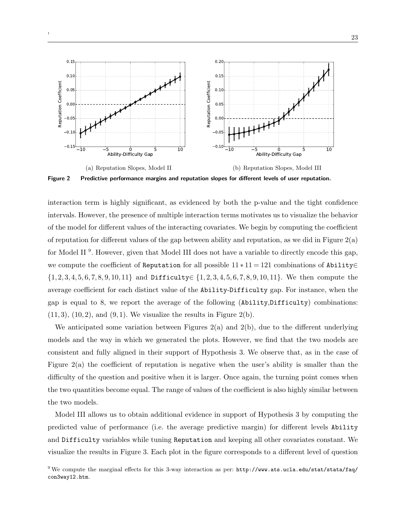

:

(a) Reputation Slopes, Model II (b) Reputation Slopes, Model III Figure 2 Predictive performance margins and reputation slopes for different levels of user reputation.

interaction term is highly significant, as evidenced by both the p-value and the tight confidence intervals. However, the presence of multiple interaction terms motivates us to visualize the behavior of the model for different values of the interacting covariates. We begin by computing the coefficient of reputation for different values of the gap between ability and reputation, as we did in Figure  $2(a)$ for Model II<sup>9</sup>. However, given that Model III does not have a variable to directly encode this gap, we compute the coefficient of Reputation for all possible  $11 * 11 = 121$  combinations of Ability∈  $\{1, 2, 3, 4, 5, 6, 7, 8, 9, 10, 11\}$  and Difficulty  $\in \{1, 2, 3, 4, 5, 6, 7, 8, 9, 10, 11\}$ . We then compute the average coefficient for each distinct value of the Ability-Difficulty gap. For instance, when the gap is equal to 8, we report the average of the following (Ability,Difficulty) combinations:  $(11, 3), (10, 2),$  and  $(9, 1)$ . We visualize the results in Figure 2(b).

We anticipated some variation between Figures  $2(a)$  and  $2(b)$ , due to the different underlying models and the way in which we generated the plots. However, we find that the two models are consistent and fully aligned in their support of Hypothesis 3. We observe that, as in the case of Figure 2(a) the coefficient of reputation is negative when the user's ability is smaller than the difficulty of the question and positive when it is larger. Once again, the turning point comes when the two quantities become equal. The range of values of the coefficient is also highly similar between the two models.

Model III allows us to obtain additional evidence in support of Hypothesis 3 by computing the predicted value of performance (i.e. the average predictive margin) for different levels Ability and Difficulty variables while tuning Reputation and keeping all other covariates constant. We visualize the results in Figure 3. Each plot in the figure corresponds to a different level of question

<sup>9</sup> We compute the marginal effects for this 3-way interaction as per: http://www.ats.ucla.edu/stat/stata/faq/ con3way12.htm.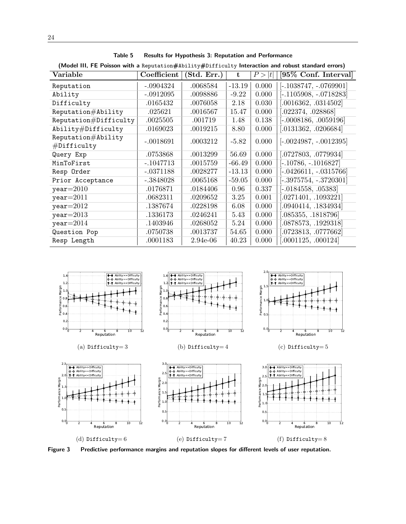| (Model III, FE Poisson with a Reputation#Ability#Difficulty Interaction and robust standard errors) |             |             |          |       |                          |  |
|-----------------------------------------------------------------------------------------------------|-------------|-------------|----------|-------|--------------------------|--|
| Variable                                                                                            | Coefficient | (Std. Err.) | t        | P> t  | [95\% Conf. Interval]    |  |
| Reputation                                                                                          | $-.0904324$ | .0068584    | $-13.19$ | 0.000 | $[-.1038747, -.0769901]$ |  |
| Ability                                                                                             | $-.0912095$ | .0098886    | $-9.22$  | 0.000 | $[-.1105908, -.0718283]$ |  |
| Difficulty                                                                                          | .0165432    | .0076058    | 2.18     | 0.030 | [.0016362, .0314502]     |  |
| Reputation#Ability                                                                                  | .025621     | .0016567    | 15.47    | 0.000 | [.022374, .028868]       |  |
| Reputation#Difficulty                                                                               | .0025505    | .001719     | 1.48     | 0.138 | $[-.0008186, .0059196]$  |  |
| Ability#Difficulty                                                                                  | .0169023    | .0019215    | 8.80     | 0.000 | [.0131362, .0206684]     |  |
| Reputation#Ability<br>#Difficulty                                                                   | $-.0018691$ | .0003212    | $-5.82$  | 0.000 | $[-.0024987, -.0012395]$ |  |
| Query Exp                                                                                           | .0753868    | .0013299    | 56.69    | 0.000 | [.0727803, .0779934]     |  |
| MinToFirst                                                                                          | $-.1047713$ | .0015759    | $-66.49$ | 0.000 | $[-.10786, -.1016827]$   |  |
| Resp Order                                                                                          | $-.0371188$ | .0028277    | $-13.13$ | 0.000 | $[-.0426611, -.0315766]$ |  |
| Prior Acceptance                                                                                    | $-.3848028$ | .0065168    | $-59.05$ | 0.000 | $[-.3975754, -.3720301]$ |  |
| $year=2010$                                                                                         | .0176871    | .0184406    | 0.96     | 0.337 | $[-.0184558, .05383]$    |  |
| $year=2011$                                                                                         | .0682311    | .0209652    | 3.25     | 0.001 | [.0271401, .1093221]     |  |
| $year=2012$                                                                                         | .1387674    | .0228198    | 6.08     | 0.000 | [.0940414, .1834934]     |  |
| $year=2013$                                                                                         | .1336173    | .0246241    | 5.43     | 0.000 | [.085355, .1818796]      |  |
| $year=2014$                                                                                         | .1403946    | .0268052    | 5.24     | 0.000 | [.0878573, .1929318]     |  |
| Question Pop                                                                                        | .0750738    | .0013737    | 54.65    | 0.000 | [.0723813, .0777662]     |  |
| Resp Length                                                                                         | .0001183    | $2.94e-06$  | 40.23    | 0.000 | [.0001125, .000124]      |  |

Table 5 Results for Hypothesis 3: Reputation and Performance



Figure 3 Predictive performance margins and reputation slopes for different levels of user reputation.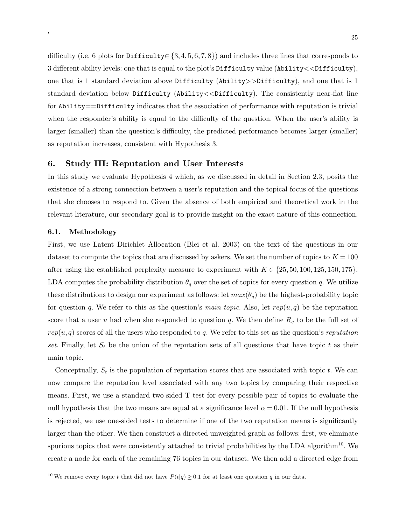difficulty (i.e. 6 plots for Difficulty∈  $\{3, 4, 5, 6, 7, 8\}$ ) and includes three lines that corresponds to 3 different ability levels: one that is equal to the plot's Difficulty value (Ability<<Difficulty), one that is 1 standard deviation above Difficulty (Ability>>Difficulty), and one that is 1 standard deviation below Difficulty (Ability << Difficulty). The consistently near-flat line for Ability==Difficulty indicates that the association of performance with reputation is trivial when the responder's ability is equal to the difficulty of the question. When the user's ability is larger (smaller) than the question's difficulty, the predicted performance becomes larger (smaller) as reputation increases, consistent with Hypothesis 3.

## 6. Study III: Reputation and User Interests

In this study we evaluate Hypothesis 4 which, as we discussed in detail in Section 2.3, posits the existence of a strong connection between a user's reputation and the topical focus of the questions that she chooses to respond to. Given the absence of both empirical and theoretical work in the relevant literature, our secondary goal is to provide insight on the exact nature of this connection.

#### 6.1. Methodology

:

First, we use Latent Dirichlet Allocation (Blei et al. 2003) on the text of the questions in our dataset to compute the topics that are discussed by askers. We set the number of topics to  $K = 100$ after using the established perplexity measure to experiment with  $K \in \{25, 50, 100, 125, 150, 175\}.$ LDA computes the probability distribution  $\theta_q$  over the set of topics for every question q. We utilize these distributions to design our experiment as follows: let  $max(\theta_{q})$  be the highest-probability topic for question q. We refer to this as the question's main topic. Also, let  $rep(u, q)$  be the reputation score that a user u had when she responded to question q. We then define  $R_q$  to be the full set of  $rep(u, q)$  scores of all the users who responded to q. We refer to this set as the question's reputation set. Finally, let  $S_t$  be the union of the reputation sets of all questions that have topic t as their main topic.

Conceptually,  $S_t$  is the population of reputation scores that are associated with topic t. We can now compare the reputation level associated with any two topics by comparing their respective means. First, we use a standard two-sided T-test for every possible pair of topics to evaluate the null hypothesis that the two means are equal at a significance level  $\alpha = 0.01$ . If the null hypothesis is rejected, we use one-sided tests to determine if one of the two reputation means is significantly larger than the other. We then construct a directed unweighted graph as follows: first, we eliminate spurious topics that were consistently attached to trivial probabilities by the LDA algorithm<sup>10</sup>. We create a node for each of the remaining 76 topics in our dataset. We then add a directed edge from

<sup>&</sup>lt;sup>10</sup> We remove every topic t that did not have  $P(t|q) \ge 0.1$  for at least one question q in our data.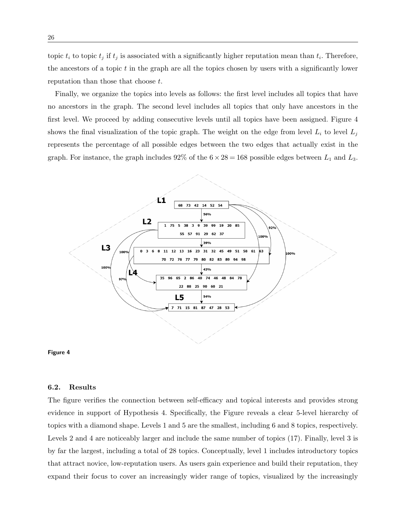topic  $t_i$  to topic  $t_j$  if  $t_j$  is associated with a significantly higher reputation mean than  $t_i$ . Therefore, the ancestors of a topic  $t$  in the graph are all the topics chosen by users with a significantly lower reputation than those that choose t.

Finally, we organize the topics into levels as follows: the first level includes all topics that have no ancestors in the graph. The second level includes all topics that only have ancestors in the first level. We proceed by adding consecutive levels until all topics have been assigned. Figure 4 shows the final visualization of the topic graph. The weight on the edge from level  $L_i$  to level  $L_j$ represents the percentage of all possible edges between the two edges that actually exist in the graph. For instance, the graph includes 92% of the  $6 \times 28 = 168$  possible edges between  $L_1$  and  $L_3$ .





#### 6.2. Results

The figure verifies the connection between self-efficacy and topical interests and provides strong evidence in support of Hypothesis 4. Specifically, the Figure reveals a clear 5-level hierarchy of topics with a diamond shape. Levels 1 and 5 are the smallest, including 6 and 8 topics, respectively. Levels 2 and 4 are noticeably larger and include the same number of topics (17). Finally, level 3 is by far the largest, including a total of 28 topics. Conceptually, level 1 includes introductory topics that attract novice, low-reputation users. As users gain experience and build their reputation, they expand their focus to cover an increasingly wider range of topics, visualized by the increasingly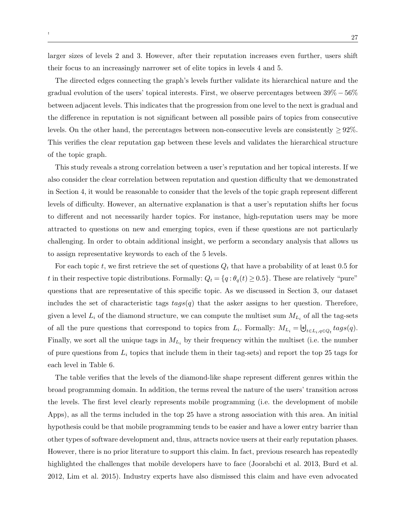larger sizes of levels 2 and 3. However, after their reputation increases even further, users shift their focus to an increasingly narrower set of elite topics in levels 4 and 5.

The directed edges connecting the graph's levels further validate its hierarchical nature and the gradual evolution of the users' topical interests. First, we observe percentages between  $39\% - 56\%$ between adjacent levels. This indicates that the progression from one level to the next is gradual and the difference in reputation is not significant between all possible pairs of topics from consecutive levels. On the other hand, the percentages between non-consecutive levels are consistently  $\geq 92\%$ . This verifies the clear reputation gap between these levels and validates the hierarchical structure of the topic graph.

This study reveals a strong correlation between a user's reputation and her topical interests. If we also consider the clear correlation between reputation and question difficulty that we demonstrated in Section 4, it would be reasonable to consider that the levels of the topic graph represent different levels of difficulty. However, an alternative explanation is that a user's reputation shifts her focus to different and not necessarily harder topics. For instance, high-reputation users may be more attracted to questions on new and emerging topics, even if these questions are not particularly challenging. In order to obtain additional insight, we perform a secondary analysis that allows us to assign representative keywords to each of the 5 levels.

For each topic t, we first retrieve the set of questions  $Q_t$  that have a probability of at least 0.5 for t in their respective topic distributions. Formally:  $Q_t = \{q : \theta_q(t) \ge 0.5\}$ . These are relatively "pure" questions that are representative of this specific topic. As we discussed in Section 3, our dataset includes the set of characteristic tags  $tags(q)$  that the asker assigns to her question. Therefore, given a level  $L_i$  of the diamond structure, we can compute the multiset sum  $M_{L_i}$  of all the tag-sets of all the pure questions that correspond to topics from  $L_i$ . Formally:  $M_{L_i} = \biguplus_{t \in L_i, q \in Q_t} tags(q)$ . Finally, we sort all the unique tags in  $M_{L_i}$  by their frequency within the multiset (i.e. the number of pure questions from  $L_i$  topics that include them in their tag-sets) and report the top 25 tags for each level in Table 6.

The table verifies that the levels of the diamond-like shape represent different genres within the broad programming domain. In addition, the terms reveal the nature of the users' transition across the levels. The first level clearly represents mobile programming (i.e. the development of mobile Apps), as all the terms included in the top 25 have a strong association with this area. An initial hypothesis could be that mobile programming tends to be easier and have a lower entry barrier than other types of software development and, thus, attracts novice users at their early reputation phases. However, there is no prior literature to support this claim. In fact, previous research has repeatedly highlighted the challenges that mobile developers have to face (Joorabchi et al. 2013, Burd et al. 2012, Lim et al. 2015). Industry experts have also dismissed this claim and have even advocated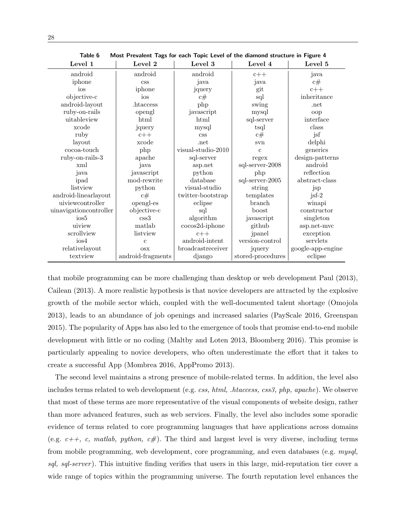| Level 1                | Level 2           | Level 3            | Level 4           | Level 5           |
|------------------------|-------------------|--------------------|-------------------|-------------------|
| android                | android           | android            | $c++$             | java              |
| iphone                 | <b>CSS</b>        | java               | java              | c#                |
| ios                    | iphone            | jquery             | git               | $c++$             |
| objective-c            | ios               | c#                 | sql               | inheritance       |
| android-layout         | htaccess.         | php                | swing             | .net              |
| ruby-on-rails          | opengl            | javascript         | mysql             | oop               |
| uitableview            | html              | html               | sql-server        | interface         |
| xcode                  | jquery            | mysql              | tsql              | class             |
| ruby                   | $c++$             | <b>CSS</b>         | c#                | jsf               |
| layout                 | xcode             | .net               | $_{\rm{svn}}$     | delphi            |
| cocoa-touch            | php               | visual-studio-2010 | $\mathbf{c}$      | generics          |
| ruby-on-rails-3        | apache            | sql-server         | regex             | design-patterns   |
| xml                    | java              | asp.net            | sql-server-2008   | android           |
| java                   | javascript        | python             | php               | reflection        |
| ipad                   | mod-rewrite       | database           | sql-server-2005   | abstract-class    |
| listview               | python            | visual-studio      | string            | jsp               |
| android-linearlayout   | c#                | twitter-bootstrap  | templates         | $jsf-2$           |
| uiviewcontroller       | opengl-es         | eclipse            | branch            | winapi            |
| uinavigationcontroller | objective-c       | sql                | boost             | constructor       |
| ios <sub>5</sub>       | $\cos 3$          | algorithm          | javascript        | singleton         |
| uiview                 | matlab            | $\cos 2d$ -iphone  | github            | asp.net-mvc       |
| scrollview             | listview          | $c++$              | jpanel            | exception         |
| ios4                   | $\mathbf{c}$      | android-intent     | version-control   | servlets          |
| relativelayout         | <b>OSX</b>        | broadcastreceiver  | jquery            | google-app-engine |
| textview               | android-fragments | django             | stored-procedures | eclipse           |

Table 6 Most Prevalent Tags for each Topic Level of the diamond structure in Figure 4

that mobile programming can be more challenging than desktop or web development Paul (2013), Cailean (2013). A more realistic hypothesis is that novice developers are attracted by the explosive growth of the mobile sector which, coupled with the well-documented talent shortage (Omojola 2013), leads to an abundance of job openings and increased salaries (PayScale 2016, Greenspan 2015). The popularity of Apps has also led to the emergence of tools that promise end-to-end mobile development with little or no coding (Maltby and Loten 2013, Bloomberg 2016). This promise is particularly appealing to novice developers, who often underestimate the effort that it takes to create a successful App (Mombrea 2016, AppPromo 2013).

The second level maintains a strong presence of mobile-related terms. In addition, the level also includes terms related to web development (e.g. css, html, .htaccess, css3, php, apache). We observe that most of these terms are more representative of the visual components of website design, rather than more advanced features, such as web services. Finally, the level also includes some sporadic evidence of terms related to core programming languages that have applications across domains (e.g.  $c \neq c$ , c, matlab, python,  $c \neq c$ ). The third and largest level is very diverse, including terms from mobile programming, web development, core programming, and even databases (e.g. mysql, sql, sql-server). This intuitive finding verifies that users in this large, mid-reputation tier cover a wide range of topics within the programming universe. The fourth reputation level enhances the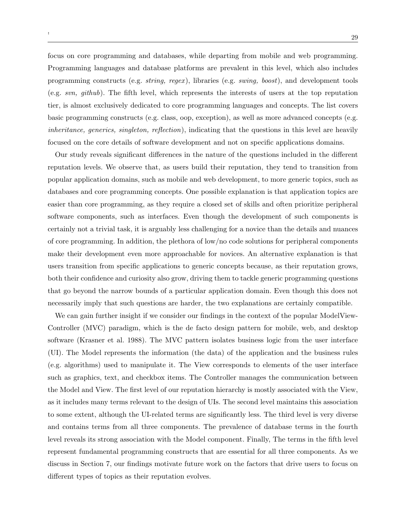focus on core programming and databases, while departing from mobile and web programming. Programming languages and database platforms are prevalent in this level, which also includes programming constructs (e.g. string, regex ), libraries (e.g. swing, boost), and development tools (e.g. svn, github). The fifth level, which represents the interests of users at the top reputation tier, is almost exclusively dedicated to core programming languages and concepts. The list covers basic programming constructs (e.g. class, oop, exception), as well as more advanced concepts (e.g. inheritance, generics, singleton, reflection), indicating that the questions in this level are heavily focused on the core details of software development and not on specific applications domains.

Our study reveals significant differences in the nature of the questions included in the different reputation levels. We observe that, as users build their reputation, they tend to transition from popular application domains, such as mobile and web development, to more generic topics, such as databases and core programming concepts. One possible explanation is that application topics are easier than core programming, as they require a closed set of skills and often prioritize peripheral software components, such as interfaces. Even though the development of such components is certainly not a trivial task, it is arguably less challenging for a novice than the details and nuances of core programming. In addition, the plethora of low/no code solutions for peripheral components make their development even more approachable for novices. An alternative explanation is that users transition from specific applications to generic concepts because, as their reputation grows, both their confidence and curiosity also grow, driving them to tackle generic programming questions that go beyond the narrow bounds of a particular application domain. Even though this does not necessarily imply that such questions are harder, the two explanations are certainly compatible.

We can gain further insight if we consider our findings in the context of the popular ModelView-Controller (MVC) paradigm, which is the de facto design pattern for mobile, web, and desktop software (Krasner et al. 1988). The MVC pattern isolates business logic from the user interface (UI). The Model represents the information (the data) of the application and the business rules (e.g. algorithms) used to manipulate it. The View corresponds to elements of the user interface such as graphics, text, and checkbox items. The Controller manages the communication between the Model and View. The first level of our reputation hierarchy is mostly associated with the View, as it includes many terms relevant to the design of UIs. The second level maintains this association to some extent, although the UI-related terms are significantly less. The third level is very diverse and contains terms from all three components. The prevalence of database terms in the fourth level reveals its strong association with the Model component. Finally, The terms in the fifth level represent fundamental programming constructs that are essential for all three components. As we discuss in Section 7, our findings motivate future work on the factors that drive users to focus on different types of topics as their reputation evolves.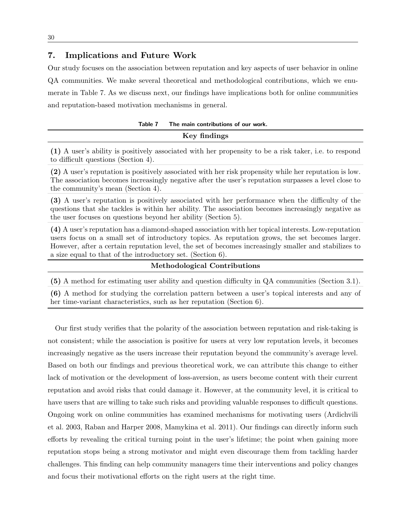# 7. Implications and Future Work

Our study focuses on the association between reputation and key aspects of user behavior in online QA communities. We make several theoretical and methodological contributions, which we enumerate in Table 7. As we discuss next, our findings have implications both for online communities and reputation-based motivation mechanisms in general.

Table 7 The main contributions of our work.

| ev | findings |
|----|----------|
|    |          |

(1) A user's ability is positively associated with her propensity to be a risk taker, i.e. to respond to difficult questions (Section 4).

(2) A user's reputation is positively associated with her risk propensity while her reputation is low. The association becomes increasingly negative after the user's reputation surpasses a level close to the community's mean (Section 4).

(3) A user's reputation is positively associated with her performance when the difficulty of the questions that she tackles is within her ability. The association becomes increasingly negative as the user focuses on questions beyond her ability (Section 5).

(4) A user's reputation has a diamond-shaped association with her topical interests. Low-reputation users focus on a small set of introductory topics. As reputation grows, the set becomes larger. However, after a certain reputation level, the set of becomes increasingly smaller and stabilizes to a size equal to that of the introductory set. (Section 6).

## Methodological Contributions

(5) A method for estimating user ability and question difficulty in QA communities (Section 3.1).

(6) A method for studying the correlation pattern between a user's topical interests and any of her time-variant characteristics, such as her reputation (Section 6).

Our first study verifies that the polarity of the association between reputation and risk-taking is not consistent; while the association is positive for users at very low reputation levels, it becomes increasingly negative as the users increase their reputation beyond the community's average level. Based on both our findings and previous theoretical work, we can attribute this change to either lack of motivation or the development of loss-aversion, as users become content with their current reputation and avoid risks that could damage it. However, at the community level, it is critical to have users that are willing to take such risks and providing valuable responses to difficult questions. Ongoing work on online communities has examined mechanisms for motivating users (Ardichvili et al. 2003, Raban and Harper 2008, Mamykina et al. 2011). Our findings can directly inform such efforts by revealing the critical turning point in the user's lifetime; the point when gaining more reputation stops being a strong motivator and might even discourage them from tackling harder challenges. This finding can help community managers time their interventions and policy changes and focus their motivational efforts on the right users at the right time.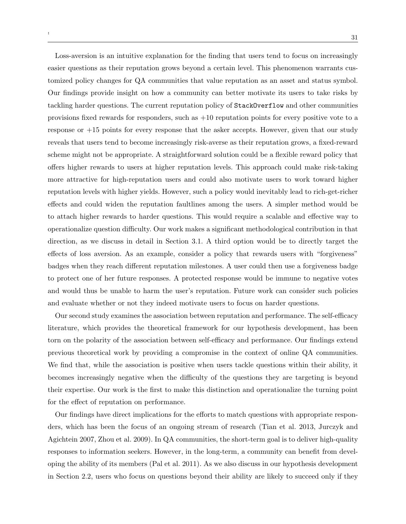Loss-aversion is an intuitive explanation for the finding that users tend to focus on increasingly easier questions as their reputation grows beyond a certain level. This phenomenon warrants customized policy changes for QA communities that value reputation as an asset and status symbol. Our findings provide insight on how a community can better motivate its users to take risks by tackling harder questions. The current reputation policy of StackOverflow and other communities provisions fixed rewards for responders, such as +10 reputation points for every positive vote to a response or +15 points for every response that the asker accepts. However, given that our study reveals that users tend to become increasingly risk-averse as their reputation grows, a fixed-reward scheme might not be appropriate. A straightforward solution could be a flexible reward policy that offers higher rewards to users at higher reputation levels. This approach could make risk-taking more attractive for high-reputation users and could also motivate users to work toward higher reputation levels with higher yields. However, such a policy would inevitably lead to rich-get-richer effects and could widen the reputation faultlines among the users. A simpler method would be to attach higher rewards to harder questions. This would require a scalable and effective way to operationalize question difficulty. Our work makes a significant methodological contribution in that direction, as we discuss in detail in Section 3.1. A third option would be to directly target the effects of loss aversion. As an example, consider a policy that rewards users with "forgiveness" badges when they reach different reputation milestones. A user could then use a forgiveness badge to protect one of her future responses. A protected response would be immune to negative votes and would thus be unable to harm the user's reputation. Future work can consider such policies and evaluate whether or not they indeed motivate users to focus on harder questions.

Our second study examines the association between reputation and performance. The self-efficacy literature, which provides the theoretical framework for our hypothesis development, has been torn on the polarity of the association between self-efficacy and performance. Our findings extend previous theoretical work by providing a compromise in the context of online QA communities. We find that, while the association is positive when users tackle questions within their ability, it becomes increasingly negative when the difficulty of the questions they are targeting is beyond their expertise. Our work is the first to make this distinction and operationalize the turning point for the effect of reputation on performance.

Our findings have direct implications for the efforts to match questions with appropriate responders, which has been the focus of an ongoing stream of research (Tian et al. 2013, Jurczyk and Agichtein 2007, Zhou et al. 2009). In QA communities, the short-term goal is to deliver high-quality responses to information seekers. However, in the long-term, a community can benefit from developing the ability of its members (Pal et al. 2011). As we also discuss in our hypothesis development in Section 2.2, users who focus on questions beyond their ability are likely to succeed only if they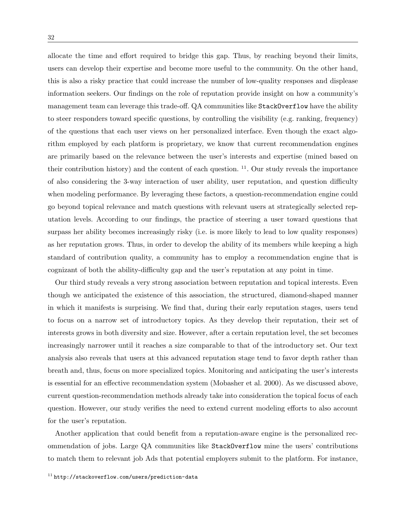allocate the time and effort required to bridge this gap. Thus, by reaching beyond their limits, users can develop their expertise and become more useful to the community. On the other hand, this is also a risky practice that could increase the number of low-quality responses and displease information seekers. Our findings on the role of reputation provide insight on how a community's management team can leverage this trade-off. QA communities like StackOverflow have the ability to steer responders toward specific questions, by controlling the visibility (e.g. ranking, frequency) of the questions that each user views on her personalized interface. Even though the exact algorithm employed by each platform is proprietary, we know that current recommendation engines are primarily based on the relevance between the user's interests and expertise (mined based on their contribution history) and the content of each question.  $^{11}$ . Our study reveals the importance of also considering the 3-way interaction of user ability, user reputation, and question difficulty when modeling performance. By leveraging these factors, a question-recommendation engine could go beyond topical relevance and match questions with relevant users at strategically selected reputation levels. According to our findings, the practice of steering a user toward questions that surpass her ability becomes increasingly risky (i.e. is more likely to lead to low quality responses) as her reputation grows. Thus, in order to develop the ability of its members while keeping a high standard of contribution quality, a community has to employ a recommendation engine that is cognizant of both the ability-difficulty gap and the user's reputation at any point in time.

Our third study reveals a very strong association between reputation and topical interests. Even though we anticipated the existence of this association, the structured, diamond-shaped manner in which it manifests is surprising. We find that, during their early reputation stages, users tend to focus on a narrow set of introductory topics. As they develop their reputation, their set of interests grows in both diversity and size. However, after a certain reputation level, the set becomes increasingly narrower until it reaches a size comparable to that of the introductory set. Our text analysis also reveals that users at this advanced reputation stage tend to favor depth rather than breath and, thus, focus on more specialized topics. Monitoring and anticipating the user's interests is essential for an effective recommendation system (Mobasher et al. 2000). As we discussed above, current question-recommendation methods already take into consideration the topical focus of each question. However, our study verifies the need to extend current modeling efforts to also account for the user's reputation.

Another application that could benefit from a reputation-aware engine is the personalized recommendation of jobs. Large QA communities like StackOverflow mine the users' contributions to match them to relevant job Ads that potential employers submit to the platform. For instance,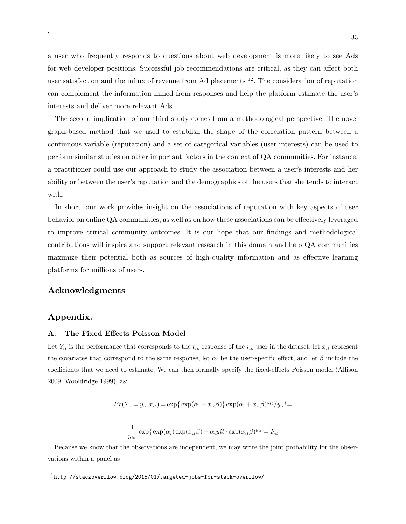a user who frequently responds to questions about web development is more likely to see Ads for web developer positions. Successful job recommendations are critical, as they can affect both user satisfaction and the influx of revenue from Ad placements  $^{12}$ . The consideration of reputation can complement the information mined from responses and help the platform estimate the user's interests and deliver more relevant Ads.

The second implication of our third study comes from a methodological perspective. The novel graph-based method that we used to establish the shape of the correlation pattern between a continuous variable (reputation) and a set of categorical variables (user interests) can be used to perform similar studies on other important factors in the context of QA communities. For instance, a practitioner could use our approach to study the association between a user's interests and her ability or between the user's reputation and the demographics of the users that she tends to interact with.

In short, our work provides insight on the associations of reputation with key aspects of user behavior on online QA communities, as well as on how these associations can be effectively leveraged to improve critical community outcomes. It is our hope that our findings and methodological contributions will inspire and support relevant research in this domain and help QA communities maximize their potential both as sources of high-quality information and as effective learning platforms for millions of users.

# Acknowledgments

# Appendix.

:

#### A. The Fixed Effects Poisson Model

Let  $Y_{it}$  is the performance that corresponds to the  $t_{th}$  response of the  $i_{th}$  user in the dataset, let  $x_{it}$  represent the covariates that correspond to the same response, let  $\alpha_i$  be the user-specific effect, and let  $\beta$  include the coefficients that we need to estimate. We can then formally specify the fixed-effects Poisson model (Allison 2009, Wooldridge 1999), as:

$$
Pr(Y_{it} = y_{it} | x_{it}) = \exp\{\exp(\alpha_i + x_{it}\beta)\} \exp(\alpha_i + x_{it}\beta)^{y_{it}}/y_{it}! =
$$
  

$$
\frac{1}{y_{it}!} \exp\{\exp(\alpha_i) \exp(x_{it}\beta) + \alpha_i y_{it}\} \exp(x_{it}\beta)^{y_{it}} = F_{it}
$$

Because we know that the observations are independent, we may write the joint probability for the observations within a panel as

 $^{12}$ http://stackoverflow.blog/2015/01/targeted-jobs-for-stack-overflow/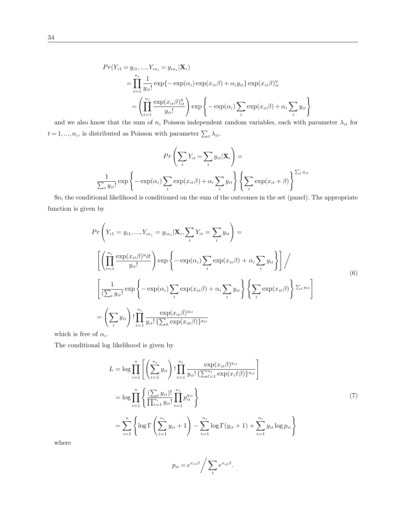$$
Pr(Y_{i1} = y_{i1}, ..., Y_{in_i} = y_{in_i} | \mathbf{X}_i)
$$
  
= 
$$
\prod_{t=1}^{n_i} \frac{1}{y_{it}!} \exp\{-\exp(\alpha_i)\exp(x_{it}\beta) + \alpha_i y_{it}\} \exp(x_{it}\beta)_{it}^y
$$
  
= 
$$
\left(\prod_{t=1}^{n_i} \frac{\exp(x_{it}\beta)_{it}^y}{y_{it}!}\right) \exp\left\{-\exp(\alpha_i)\sum_t \exp(x_{it}\beta) + \alpha_i \sum_t y_{it}\right\}
$$

and we also know that the sum of  $n_i$  Poisson independent random variables, each with parameter  $\lambda_{it}$  for  $t = 1, ..., n_i$ , is distributed as Poisson with parameter  $\sum_{t} \lambda_{it}$ .

$$
Pr\left(\sum_{t} Y_{it} = \sum_{t} y_{it} | \mathbf{X}_{i}\right) =
$$

$$
\frac{1}{\sum_{t} y_{it}!} \exp\left\{-\exp(\alpha_{i}) \sum_{t} \exp(x_{it}\beta) + \alpha_{i} \sum_{t} y_{it}\right\} \left\{\sum_{t} \exp(x_{it} + \beta)\right\}^{\sum_{t} y_{it}}
$$

So, the conditional likelihood is conditioned on the sum of the outcomes in the set (panel). The appropriate function is given by

$$
Pr\left(Y_{i1} = y_{i1}, ..., Y_{in_i} = y_{in_i} | \mathbf{X}_i, \sum_t Y_{it} = \sum_t y_{it} \right) =
$$
\n
$$
\left[ \left( \prod_{t=1}^{n_i} \frac{\exp(x_{it}\beta)^y_{it}}{y_{it}!} \right) \exp\left\{-\exp(\alpha_i) \sum_t \exp(x_{it}\beta) + \alpha_i \sum_t y_{it} \right\} \right] /
$$
\n
$$
\left[ \frac{1}{\sum_t y_{it}!} \exp\left\{-\exp(\alpha_i) \sum_t \exp(x_{it}\beta) + \alpha_i \sum_t y_{it} \right\} \left\{ \sum_t \exp(x_{it}\beta) \right\} \sum_t y_{it} \right]
$$
\n
$$
= \left( \sum_t y_{it} \right) \left\{ \prod_{t=1}^{n_i} \frac{\exp(x_{it}\beta)^{y_{it}}}{y_{it}! \left\{ \sum_k \exp(x_{ik}\beta) \right\}^{y_{it}}} \right]
$$
\nof eq.

\n(6)

which is free of  $\alpha_i$ .

The conditional log likelihood is given by

$$
L = \log \prod_{i=1}^{n} \left[ \left( \sum_{t=1}^{n_i} y_{it} \right)! \prod_{t=1}^{n_i} \frac{\exp(x_{it}\beta)^{y_{it}}}{y_{it}! \left\{ \sum_{\ell=1}^{n_\ell} \exp(x_i \ell \beta) \right\}^{y_{it}}} \right]
$$
  
\n
$$
= \log \prod_{i=1}^{n} \left\{ \frac{\left( \sum_{t} y_{it} \right)!}{\prod_{t=1}^{n_i} y_{it}!} \prod_{t=1}^{n_i} p_{it}^{y_{it}} \right\}
$$
  
\n
$$
= \sum_{i=1}^{n} \left\{ \log \Gamma \left( \sum_{t=1}^{n_i} y_{it} + 1 \right) - \sum_{t=1}^{n_i} \log \Gamma(y_{it} + 1) + \sum_{t=1}^{n_i} y_{it} \log p_{it} \right\}
$$
  
\n(7)

where

$$
p_{it} = e^{x_{it}\beta} / \sum_{\ell} e^{x_{i\ell}\beta}.
$$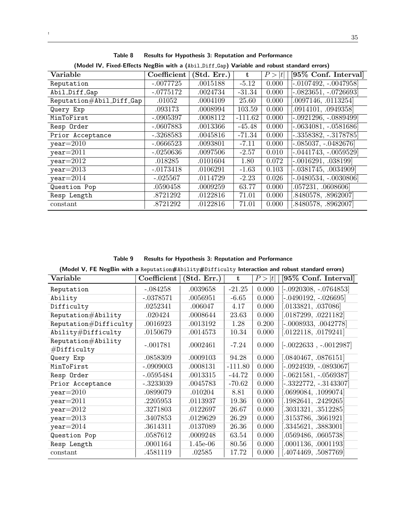35

| (Model IV, Fixed-Effects NegBin with a (Abil Diff Gap) Variable and robust standard errors) |             |             |           |       |                          |  |
|---------------------------------------------------------------------------------------------|-------------|-------------|-----------|-------|--------------------------|--|
| Variable                                                                                    | Coefficient | (Std. Err.) | t.        | P> t  | [95\% Conf. Interval]    |  |
| Reputation                                                                                  | $-.0077725$ | .0015188    | $-5.12$   | 0.000 | $[-.0107492, -.0047958]$ |  |
| Abil_Diff_Gap                                                                               | $-.0775172$ | .0024734    | $-31.34$  | 0.000 | [-.0823651, -.0726693]   |  |
| Reputation#Abil_Diff_Gap                                                                    | .01052      | .0004109    | 25.60     | 0.000 | .0097146, .0113254]      |  |
| Query Exp                                                                                   | .093173     | .0008994    | 103.59    | 0.000 | .0914101, .0949358       |  |
| MinToFirst                                                                                  | $-.0905397$ | .0008112    | $-111.62$ | 0.000 | $[-.0921296, -.0889499]$ |  |
| Resp Order                                                                                  | $-.0607883$ | .0013366    | $-45.48$  | 0.000 | [-.0634081, -.0581686]   |  |
| Prior Acceptance                                                                            | $-3268583$  | .0045816    | $-71.34$  | 0.000 | $[-.3358382, -.3178785]$ |  |
| $year=2010$                                                                                 | $-.0666523$ | .0093801    | $-7.11$   | 0.000 | $[-.085037, -.0482676]$  |  |
| $year=2011$                                                                                 | $-.0250636$ | .0097506    | $-2.57$   | 0.010 | $[-.0441743, -.0059529]$ |  |
| $year=2012$                                                                                 | .018285     | .0101604    | 1.80      | 0.072 | $[-.0016291, .038199]$   |  |
| $year=2013$                                                                                 | $-.0173418$ | .0106291    | $-1.63$   | 0.103 | $[-.0381745, .0034909]$  |  |
| $year=2014$                                                                                 | $-.025567$  | .0114729    | $-2.23$   | 0.026 | [-.0480534, -.0030806]   |  |
| Question Pop                                                                                | .0590458    | .0009259    | 63.77     | 0.000 | .057231, .0608606        |  |
| Resp Length                                                                                 | .8721292    | .0122816    | 71.01     | 0.000 | .8480578, .8962007]      |  |
| constant                                                                                    | .8721292    | .0122816    | 71.01     | 0.000 | .8480578, .8962007]      |  |

Table 8 Results for Hypothesis 3: Reputation and Performance

Table 9 Results for Hypothesis 3: Reputation and Performance

(Model V, FE NegBin with a Reputation#Ability#Difficulty Interaction and robust standard errors)

| Variable              | Coefficient | (Std. Err.) | t         | P >  t | [95\% Conf. Interval]    |
|-----------------------|-------------|-------------|-----------|--------|--------------------------|
| Reputation            | $-.084258$  | .0039658    | $-21.25$  | 0.000  | $[-.0920308, -.0764853]$ |
| Ability               | $-.0378571$ | .0056951    | $-6.65$   | 0.000  | $-0.0490192, -0.026695$  |
| Difficulty            | .0252341    | .006047     | 4.17      | 0.000  | .0133821, .037086        |
| Reputation#Ability    | .020424     | .0008644    | 23.63     | 0.000  | .0187299, .0221182       |
| Reputation#Difficulty | .0016923    | .0013192    | 1.28      | 0.200  | $-0.0008933, .0042778$   |
| Ability#Difficulty    | .0150679    | .0014573    | 10.34     | 0.000  | .0122118, .0179241]      |
| Reputation#Ability    | $-.001781$  | .0002461    | $-7.24$   | 0.000  | $[-.0022633, -.0012987]$ |
| #Difficulty           |             |             |           |        |                          |
| Query Exp             | .0858309    | .0009103    | 94.28     | 0.000  | .0840467, .0876151]      |
| MinToFirst            | $-.0909003$ | .0008131    | $-111.80$ | 0.000  | $[-.0924939, -.0893067]$ |
| Resp Order            | $-.0595484$ | .0013315    | $-44.72$  | 0.000  | $[-.0621581, -.0569387]$ |
| Prior Acceptance      | $-.3233039$ | .0045783    | $-70.62$  | 0.000  | $[-.3322772, -.3143307]$ |
| $year=2010$           | .0899079    | .010204     | 8.81      | 0.000  | .0699084, .1099074       |
| $year=2011$           | .2205953    | .0113937    | 19.36     | 0.000  | .1982641, .2429265       |
| $year=2012$           | .3271803    | .0122697    | 26.67     | 0.000  | .3031321, .3512285]      |
| $year = 2013$         | .3407853    | .0129629    | 26.29     | 0.000  | .3153786, .3661921       |
| $year=2014$           | .3614311    | .0137089    | 26.36     | 0.000  | .3345621, .3883001       |
| Question Pop          | .0587612    | .0009248    | 63.54     | 0.000  | .0569486, .0605738]      |
| Resp Length           | .0001164    | $1.45e-06$  | 80.56     | 0.000  | .0001136, .0001193]      |
| constant              | .4581119    | .02585      | 17.72     | 0.000  | .4074469, .5087769       |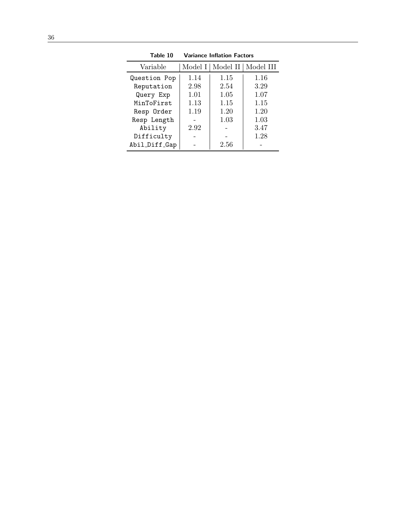| Variable      |      | Model I   Model II | Model III |
|---------------|------|--------------------|-----------|
| Question Pop  | 1.14 | 1.15               | 1.16      |
| Reputation    | 2.98 | 2.54               | 3.29      |
| Query Exp     | 1.01 | 1.05               | 1.07      |
| MinToFirst    | 1.13 | 1.15               | 1.15      |
| Resp Order    | 1.19 | 1.20               | 1.20      |
| Resp Length   |      | 1.03               | 1.03      |
| Ability       | 2.92 |                    | 3.47      |
| Difficulty    |      |                    | 1.28      |
| Abil_Diff_Gap |      | 2.56               |           |

Table 10 Variance Inflation Factors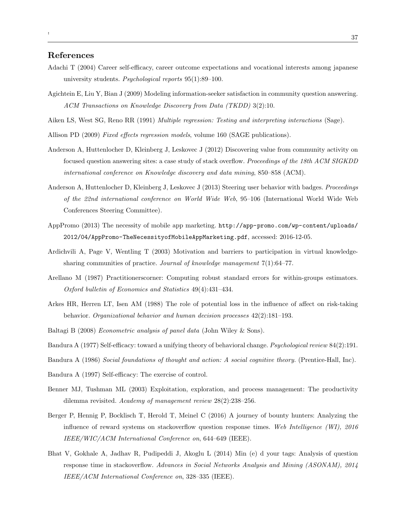# References

- Adachi T (2004) Career self-efficacy, career outcome expectations and vocational interests among japanese university students. Psychological reports 95(1):89–100.
- Agichtein E, Liu Y, Bian J (2009) Modeling information-seeker satisfaction in community question answering. ACM Transactions on Knowledge Discovery from Data (TKDD) 3(2):10.
- Aiken LS, West SG, Reno RR (1991) Multiple regression: Testing and interpreting interactions (Sage).
- Allison PD (2009) Fixed effects regression models, volume 160 (SAGE publications).
- Anderson A, Huttenlocher D, Kleinberg J, Leskovec J (2012) Discovering value from community activity on focused question answering sites: a case study of stack overflow. Proceedings of the 18th ACM SIGKDD international conference on Knowledge discovery and data mining, 850–858 (ACM).
- Anderson A, Huttenlocher D, Kleinberg J, Leskovec J (2013) Steering user behavior with badges. Proceedings of the 22nd international conference on World Wide Web, 95–106 (International World Wide Web Conferences Steering Committee).
- AppPromo (2013) The necessity of mobile app marketing. http://app-promo.com/wp-content/uploads/ 2012/04/AppPromo-TheNecessityofMobileAppMarketing.pdf, accessed: 2016-12-05.
- Ardichvili A, Page V, Wentling T (2003) Motivation and barriers to participation in virtual knowledgesharing communities of practice. Journal of knowledge management  $7(1):64-77$ .
- Arellano M (1987) Practitionerscorner: Computing robust standard errors for within-groups estimators. Oxford bulletin of Economics and Statistics 49(4):431–434.
- Arkes HR, Herren LT, Isen AM (1988) The role of potential loss in the influence of affect on risk-taking behavior. Organizational behavior and human decision processes 42(2):181–193.
- Baltagi B (2008) Econometric analysis of panel data (John Wiley & Sons).
- Bandura A (1977) Self-efficacy: toward a unifying theory of behavioral change. Psychological review 84(2):191.
- Bandura A (1986) Social foundations of thought and action: A social cognitive theory. (Prentice-Hall, Inc).
- Bandura A (1997) Self-efficacy: The exercise of control.
- Benner MJ, Tushman ML (2003) Exploitation, exploration, and process management: The productivity dilemma revisited. Academy of management review 28(2):238–256.
- Berger P, Hennig P, Bocklisch T, Herold T, Meinel C (2016) A journey of bounty hunters: Analyzing the influence of reward systems on stackoverflow question response times. Web Intelligence  $(WI)$ , 2016 IEEE/WIC/ACM International Conference on, 644–649 (IEEE).
- Bhat V, Gokhale A, Jadhav R, Pudipeddi J, Akoglu L (2014) Min (e) d your tags: Analysis of question response time in stackoverflow. Advances in Social Networks Analysis and Mining (ASONAM), 2014 IEEE/ACM International Conference on, 328–335 (IEEE).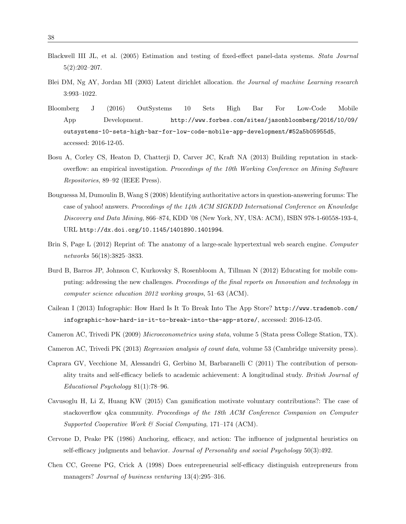- Blackwell III JL, et al. (2005) Estimation and testing of fixed-effect panel-data systems. Stata Journal 5(2):202–207.
- Blei DM, Ng AY, Jordan MI (2003) Latent dirichlet allocation. the Journal of machine Learning research 3:993–1022.
- Bloomberg J (2016) OutSystems 10 Sets High Bar For Low-Code Mobile App Development. http://www.forbes.com/sites/jasonbloomberg/2016/10/09/ outsystems-10-sets-high-bar-for-low-code-mobile-app-development/#52a5b05955d5, accessed: 2016-12-05.
- Bosu A, Corley CS, Heaton D, Chatterji D, Carver JC, Kraft NA (2013) Building reputation in stackoverflow: an empirical investigation. Proceedings of the 10th Working Conference on Mining Software Repositories, 89–92 (IEEE Press).
- Bouguessa M, Dumoulin B, Wang S (2008) Identifying authoritative actors in question-answering forums: The case of yahoo! answers. Proceedings of the 14th ACM SIGKDD International Conference on Knowledge Discovery and Data Mining, 866–874, KDD '08 (New York, NY, USA: ACM), ISBN 978-1-60558-193-4, URL http://dx.doi.org/10.1145/1401890.1401994.
- Brin S, Page L (2012) Reprint of: The anatomy of a large-scale hypertextual web search engine. Computer networks 56(18):3825–3833.
- Burd B, Barros JP, Johnson C, Kurkovsky S, Rosenbloom A, Tillman N (2012) Educating for mobile computing: addressing the new challenges. Proceedings of the final reports on Innovation and technology in computer science education 2012 working groups, 51–63 (ACM).
- Cailean I (2013) Infographic: How Hard Is It To Break Into The App Store? http://www.trademob.com/ infographic-how-hard-is-it-to-break-into-the-app-store/, accessed: 2016-12-05.
- Cameron AC, Trivedi PK (2009) Microeconometrics using stata, volume 5 (Stata press College Station, TX).
- Cameron AC, Trivedi PK (2013) Regression analysis of count data, volume 53 (Cambridge university press).
- Caprara GV, Vecchione M, Alessandri G, Gerbino M, Barbaranelli C (2011) The contribution of personality traits and self-efficacy beliefs to academic achievement: A longitudinal study. British Journal of Educational Psychology 81(1):78–96.
- Cavusoglu H, Li Z, Huang KW (2015) Can gamification motivate voluntary contributions?: The case of stackoverflow q&a community. Proceedings of the 18th ACM Conference Companion on Computer Supported Cooperative Work & Social Computing, 171–174 (ACM).
- Cervone D, Peake PK (1986) Anchoring, efficacy, and action: The influence of judgmental heuristics on self-efficacy judgments and behavior. Journal of Personality and social Psychology 50(3):492.
- Chen CC, Greene PG, Crick A (1998) Does entrepreneurial self-efficacy distinguish entrepreneurs from managers? *Journal of business venturing*  $13(4):295-316$ .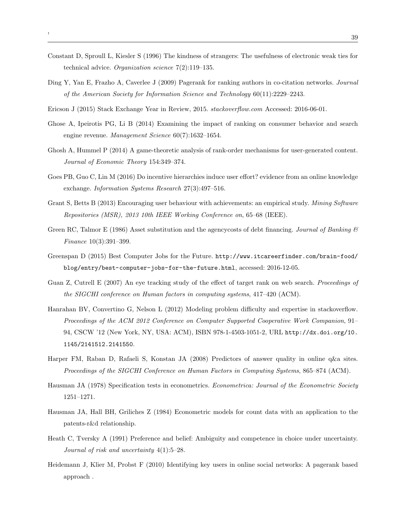39

- Constant D, Sproull L, Kiesler S (1996) The kindness of strangers: The usefulness of electronic weak ties for technical advice. Organization science 7(2):119–135.
- Ding Y, Yan E, Frazho A, Caverlee J (2009) Pagerank for ranking authors in co-citation networks. Journal of the American Society for Information Science and Technology 60(11):2229–2243.
- Ericson J (2015) Stack Exchange Year in Review, 2015. stackoverflow.com Accessed: 2016-06-01.
- Ghose A, Ipeirotis PG, Li B (2014) Examining the impact of ranking on consumer behavior and search engine revenue. Management Science 60(7):1632–1654.
- Ghosh A, Hummel P (2014) A game-theoretic analysis of rank-order mechanisms for user-generated content. Journal of Economic Theory 154:349–374.
- Goes PB, Guo C, Lin M (2016) Do incentive hierarchies induce user effort? evidence from an online knowledge exchange. Information Systems Research 27(3):497–516.
- Grant S, Betts B (2013) Encouraging user behaviour with achievements: an empirical study. Mining Software Repositories (MSR), 2013 10th IEEE Working Conference on, 65–68 (IEEE).
- Green RC, Talmor E (1986) Asset substitution and the agency costs of debt financing. Journal of Banking  $\mathcal B$ Finance 10(3):391–399.
- Greenspan D (2015) Best Computer Jobs for the Future. http://www.itcareerfinder.com/brain-food/ blog/entry/best-computer-jobs-for-the-future.html, accessed: 2016-12-05.
- Guan Z, Cutrell E (2007) An eye tracking study of the effect of target rank on web search. Proceedings of the SIGCHI conference on Human factors in computing systems, 417–420 (ACM).
- Hanrahan BV, Convertino G, Nelson L (2012) Modeling problem difficulty and expertise in stackoverflow. Proceedings of the ACM 2012 Conference on Computer Supported Cooperative Work Companion, 91– 94, CSCW '12 (New York, NY, USA: ACM), ISBN 978-1-4503-1051-2, URL http://dx.doi.org/10. 1145/2141512.2141550.
- Harper FM, Raban D, Rafaeli S, Konstan JA (2008) Predictors of answer quality in online q&a sites. Proceedings of the SIGCHI Conference on Human Factors in Computing Systems, 865–874 (ACM).
- Hausman JA (1978) Specification tests in econometrics. Econometrica: Journal of the Econometric Society 1251–1271.
- Hausman JA, Hall BH, Griliches Z (1984) Econometric models for count data with an application to the patents-r&d relationship.
- Heath C, Tversky A (1991) Preference and belief: Ambiguity and competence in choice under uncertainty. Journal of risk and uncertainty 4(1):5–28.
- Heidemann J, Klier M, Probst F (2010) Identifying key users in online social networks: A pagerank based approach .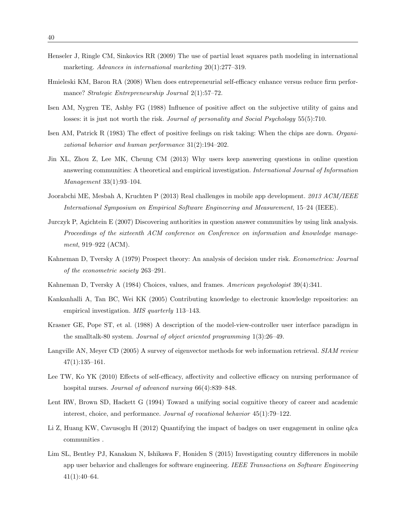- Henseler J, Ringle CM, Sinkovics RR (2009) The use of partial least squares path modeling in international marketing. Advances in international marketing  $20(1):277-319$ .
- Hmieleski KM, Baron RA (2008) When does entrepreneurial self-efficacy enhance versus reduce firm performance? Strategic Entrepreneurship Journal 2(1):57–72.
- Isen AM, Nygren TE, Ashby FG (1988) Influence of positive affect on the subjective utility of gains and losses: it is just not worth the risk. Journal of personality and Social Psychology 55(5):710.
- Isen AM, Patrick R (1983) The effect of positive feelings on risk taking: When the chips are down. Organizational behavior and human performance 31(2):194–202.
- Jin XL, Zhou Z, Lee MK, Cheung CM (2013) Why users keep answering questions in online question answering communities: A theoretical and empirical investigation. International Journal of Information Management 33(1):93–104.
- Joorabchi ME, Mesbah A, Kruchten P (2013) Real challenges in mobile app development. 2013 ACM/IEEE International Symposium on Empirical Software Engineering and Measurement, 15–24 (IEEE).
- Jurczyk P, Agichtein E (2007) Discovering authorities in question answer communities by using link analysis. Proceedings of the sixteenth ACM conference on Conference on information and knowledge management, 919–922 (ACM).
- Kahneman D, Tversky A (1979) Prospect theory: An analysis of decision under risk. Econometrica: Journal of the econometric society 263–291.
- Kahneman D, Tversky A (1984) Choices, values, and frames. American psychologist 39(4):341.
- Kankanhalli A, Tan BC, Wei KK (2005) Contributing knowledge to electronic knowledge repositories: an empirical investigation. *MIS quarterly* 113-143.
- Krasner GE, Pope ST, et al. (1988) A description of the model-view-controller user interface paradigm in the smalltalk-80 system. Journal of object oriented programming 1(3):26–49.
- Langville AN, Meyer CD (2005) A survey of eigenvector methods for web information retrieval. SIAM review 47(1):135–161.
- Lee TW, Ko YK (2010) Effects of self-efficacy, affectivity and collective efficacy on nursing performance of hospital nurses. Journal of advanced nursing  $66(4):839-848$ .
- Lent RW, Brown SD, Hackett G (1994) Toward a unifying social cognitive theory of career and academic interest, choice, and performance. Journal of vocational behavior 45(1):79–122.
- Li Z, Huang KW, Cavusoglu H (2012) Quantifying the impact of badges on user engagement in online q&a communities .
- Lim SL, Bentley PJ, Kanakam N, Ishikawa F, Honiden S (2015) Investigating country differences in mobile app user behavior and challenges for software engineering. IEEE Transactions on Software Engineering 41(1):40–64.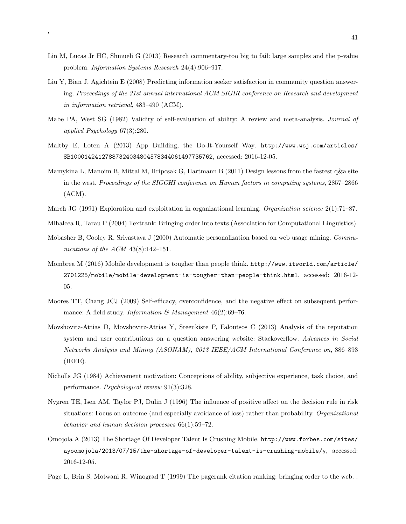- Liu Y, Bian J, Agichtein E (2008) Predicting information seeker satisfaction in community question answering. Proceedings of the 31st annual international ACM SIGIR conference on Research and development in information retrieval, 483–490 (ACM).
- Mabe PA, West SG (1982) Validity of self-evaluation of ability: A review and meta-analysis. Journal of applied Psychology 67(3):280.
- Maltby E, Loten A (2013) App Building, the Do-It-Yourself Way. http://www.wsj.com/articles/ SB10001424127887324034804578344061497735762, accessed: 2016-12-05.
- Mamykina L, Manoim B, Mittal M, Hripcsak G, Hartmann B (2011) Design lessons from the fastest q&a site in the west. Proceedings of the SIGCHI conference on Human factors in computing systems, 2857–2866 (ACM).
- March JG (1991) Exploration and exploitation in organizational learning. Organization science 2(1):71–87.
- Mihalcea R, Tarau P (2004) Textrank: Bringing order into texts (Association for Computational Linguistics).
- Mobasher B, Cooley R, Srivastava J (2000) Automatic personalization based on web usage mining. Communications of the ACM 43(8):142–151.
- Mombrea M (2016) Mobile development is tougher than people think. http://www.itworld.com/article/ 2701225/mobile/mobile-development-is-tougher-than-people-think.html, accessed: 2016-12- 05.
- Moores TT, Chang JCJ (2009) Self-efficacy, overconfidence, and the negative effect on subsequent performance: A field study. Information & Management  $46(2):69-76$ .
- Movshovitz-Attias D, Movshovitz-Attias Y, Steenkiste P, Faloutsos C (2013) Analysis of the reputation system and user contributions on a question answering website: Stackoverflow. Advances in Social Networks Analysis and Mining (ASONAM), 2013 IEEE/ACM International Conference on, 886–893 (IEEE).
- Nicholls JG (1984) Achievement motivation: Conceptions of ability, subjective experience, task choice, and performance. Psychological review 91(3):328.
- Nygren TE, Isen AM, Taylor PJ, Dulin J (1996) The influence of positive affect on the decision rule in risk situations: Focus on outcome (and especially avoidance of loss) rather than probability. Organizational behavior and human decision processes 66(1):59–72.
- Omojola A (2013) The Shortage Of Developer Talent Is Crushing Mobile. http://www.forbes.com/sites/ ayoomojola/2013/07/15/the-shortage-of-developer-talent-is-crushing-mobile/y, accessed: 2016-12-05.
- Page L, Brin S, Motwani R, Winograd T (1999) The pagerank citation ranking: bringing order to the web. .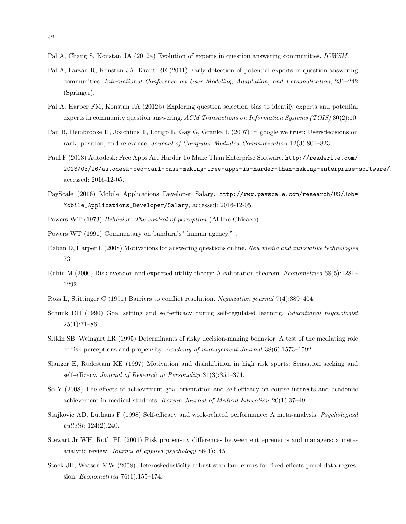- Pal A, Chang S, Konstan JA (2012a) Evolution of experts in question answering communities. ICWSM.
- Pal A, Farzan R, Konstan JA, Kraut RE (2011) Early detection of potential experts in question answering communities. International Conference on User Modeling, Adaptation, and Personalization, 231–242 (Springer).
- Pal A, Harper FM, Konstan JA (2012b) Exploring question selection bias to identify experts and potential experts in community question answering. ACM Transactions on Information Systems (TOIS) 30(2):10.
- Pan B, Hembrooke H, Joachims T, Lorigo L, Gay G, Granka L (2007) In google we trust: Usersdecisions on rank, position, and relevance. Journal of Computer-Mediated Communication 12(3):801–823.
- Paul F (2013) Autodesk: Free Apps Are Harder To Make Than Enterprise Software. http://readwrite.com/ 2013/03/26/autodesk-ceo-carl-bass-making-free-apps-is-harder-than-making-enterprise-software/, accessed: 2016-12-05.
- PayScale (2016) Mobile Applications Developer Salary. http://www.payscale.com/research/US/Job= Mobile\_Applications\_Developer/Salary, accessed: 2016-12-05.
- Powers WT (1973) Behavior: The control of perception (Aldine Chicago).
- Powers WT (1991) Commentary on bandura's" human agency." .
- Raban D, Harper F (2008) Motivations for answering questions online. New media and innovative technologies 73.
- Rabin M (2000) Risk aversion and expected-utility theory: A calibration theorem. Econometrica 68(5):1281– 1292.
- Ross L, Stittinger C (1991) Barriers to conflict resolution. Negotiation journal 7(4):389–404.
- Schunk DH (1990) Goal setting and self-efficacy during self-regulated learning. Educational psychologist  $25(1):71–86.$
- Sitkin SB, Weingart LR (1995) Determinants of risky decision-making behavior: A test of the mediating role of risk perceptions and propensity. Academy of management Journal 38(6):1573–1592.
- Slanger E, Rudestam KE (1997) Motivation and disinhibition in high risk sports: Sensation seeking and self-efficacy. Journal of Research in Personality 31(3):355–374.
- So Y (2008) The effects of achievement goal orientation and self-efficacy on course interests and academic achievement in medical students. Korean Journal of Medical Education 20(1):37–49.
- Stajkovic AD, Luthans F (1998) Self-efficacy and work-related performance: A meta-analysis. Psychological bulletin 124(2):240.
- Stewart Jr WH, Roth PL (2001) Risk propensity differences between entrepreneurs and managers: a metaanalytic review. Journal of applied psychology 86(1):145.
- Stock JH, Watson MW (2008) Heteroskedasticity-robust standard errors for fixed effects panel data regression. Econometrica 76(1):155–174.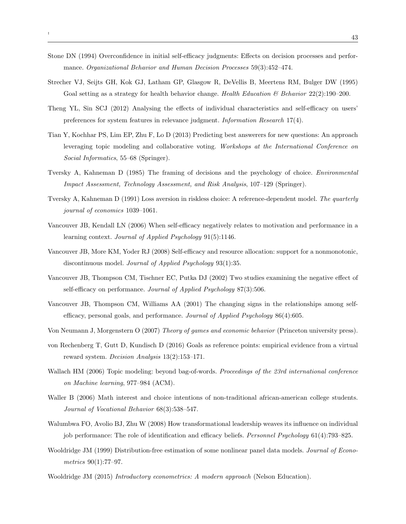- Stone DN (1994) Overconfidence in initial self-efficacy judgments: Effects on decision processes and performance. Organizational Behavior and Human Decision Processes 59(3):452–474.
- Strecher VJ, Seijts GH, Kok GJ, Latham GP, Glasgow R, DeVellis B, Meertens RM, Bulger DW (1995) Goal setting as a strategy for health behavior change. Health Education  $\mathcal B$  Behavior 22(2):190–200.
- Theng YL, Sin SCJ (2012) Analysing the effects of individual characteristics and self-efficacy on users' preferences for system features in relevance judgment. Information Research 17(4).
- Tian Y, Kochhar PS, Lim EP, Zhu F, Lo D (2013) Predicting best answerers for new questions: An approach leveraging topic modeling and collaborative voting. Workshops at the International Conference on Social Informatics, 55–68 (Springer).
- Tversky A, Kahneman D (1985) The framing of decisions and the psychology of choice. Environmental Impact Assessment, Technology Assessment, and Risk Analysis, 107–129 (Springer).
- Tversky A, Kahneman D (1991) Loss aversion in riskless choice: A reference-dependent model. The quarterly journal of economics 1039–1061.
- Vancouver JB, Kendall LN (2006) When self-efficacy negatively relates to motivation and performance in a learning context. Journal of Applied Psychology 91(5):1146.
- Vancouver JB, More KM, Yoder RJ (2008) Self-efficacy and resource allocation: support for a nonmonotonic, discontinuous model. Journal of Applied Psychology 93(1):35.
- Vancouver JB, Thompson CM, Tischner EC, Putka DJ (2002) Two studies examining the negative effect of self-efficacy on performance. *Journal of Applied Psychology* 87(3):506.
- Vancouver JB, Thompson CM, Williams AA (2001) The changing signs in the relationships among selfefficacy, personal goals, and performance. Journal of Applied Psychology 86(4):605.
- Von Neumann J, Morgenstern O (2007) Theory of games and economic behavior (Princeton university press).
- von Rechenberg T, Gutt D, Kundisch D (2016) Goals as reference points: empirical evidence from a virtual reward system. Decision Analysis 13(2):153-171.
- Wallach HM (2006) Topic modeling: beyond bag-of-words. Proceedings of the 23rd international conference on Machine learning, 977–984 (ACM).
- Waller B (2006) Math interest and choice intentions of non-traditional african-american college students. Journal of Vocational Behavior 68(3):538–547.
- Walumbwa FO, Avolio BJ, Zhu W (2008) How transformational leadership weaves its influence on individual job performance: The role of identification and efficacy beliefs. Personnel Psychology 61(4):793–825.
- Wooldridge JM (1999) Distribution-free estimation of some nonlinear panel data models. Journal of Econometrics 90(1):77–97.
- Wooldridge JM (2015) Introductory econometrics: A modern approach (Nelson Education).